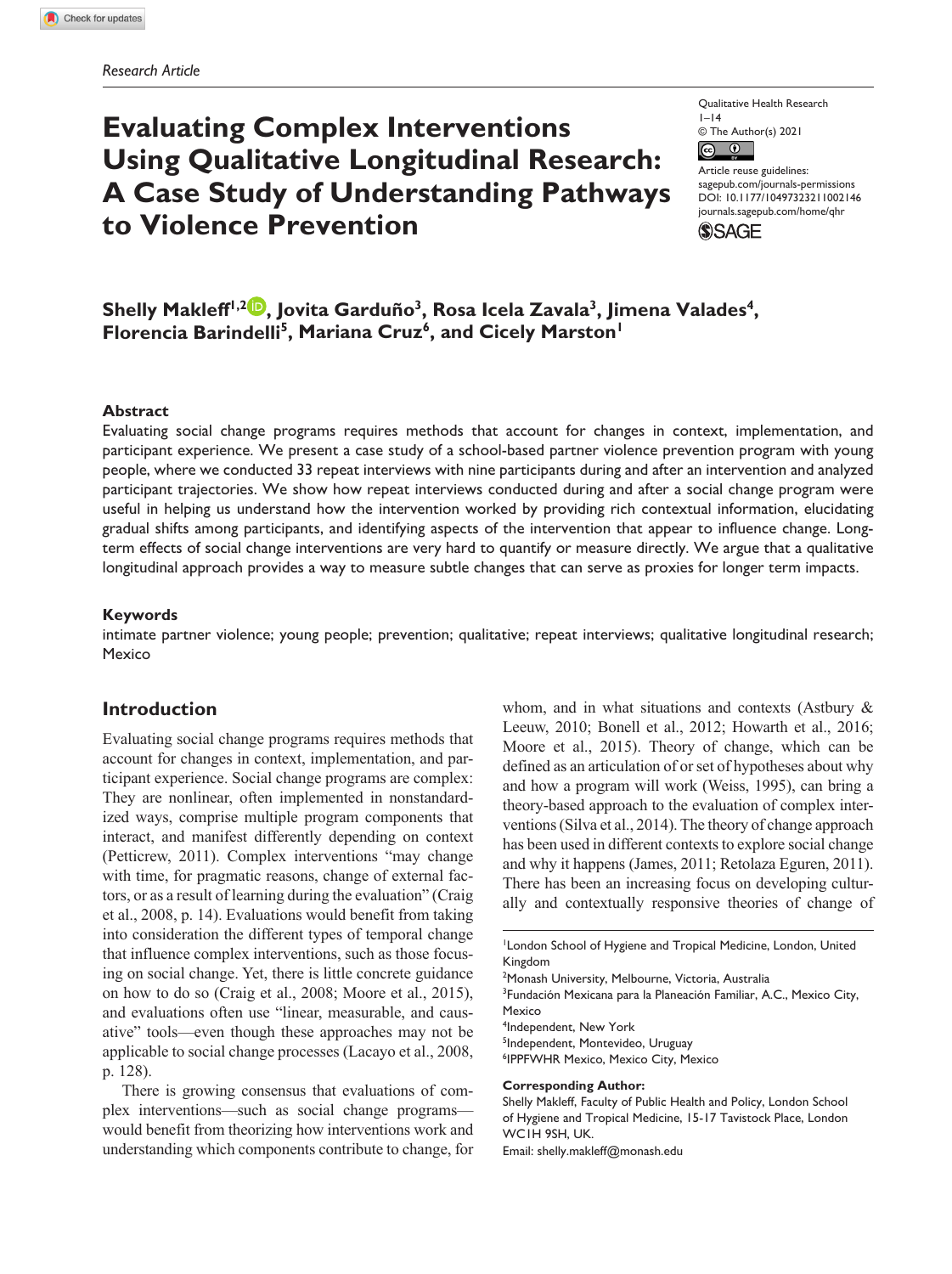# **Evaluating Complex Interventions Using Qualitative Longitudinal Research: A Case Study of Understanding Pathways to Violence Prevention**

Qualitative Health Research  $1-14$ © The Author(s) 2021  $\circledcirc$ 

Article reuse guidelines: [sagepub.com/journals-permissions](https://us.sagepub.com/en-us/journals-permissions) DOI: 10.1177/10497323211002146 [journals.sagepub.com/home/qhr](https://journals.sagepub.com/home/qhr) **SSAGE** 

Shelly Makleff<sup>1,2</sup> , Jovita Garduño<sup>3</sup>, Rosa Icela Zavala<sup>3</sup>, Jimena Valades<sup>4</sup>, **Florencia Barindelli5, Mariana Cruz6, and Cicely Marston1**

#### **Abstract**

Evaluating social change programs requires methods that account for changes in context, implementation, and participant experience. We present a case study of a school-based partner violence prevention program with young people, where we conducted 33 repeat interviews with nine participants during and after an intervention and analyzed participant trajectories. We show how repeat interviews conducted during and after a social change program were useful in helping us understand how the intervention worked by providing rich contextual information, elucidating gradual shifts among participants, and identifying aspects of the intervention that appear to influence change. Longterm effects of social change interventions are very hard to quantify or measure directly. We argue that a qualitative longitudinal approach provides a way to measure subtle changes that can serve as proxies for longer term impacts.

#### **Keywords**

intimate partner violence; young people; prevention; qualitative; repeat interviews; qualitative longitudinal research; **Mexico** 

## **Introduction**

Evaluating social change programs requires methods that account for changes in context, implementation, and participant experience. Social change programs are complex: They are nonlinear, often implemented in nonstandardized ways, comprise multiple program components that interact, and manifest differently depending on context (Petticrew, 2011). Complex interventions "may change with time, for pragmatic reasons, change of external factors, or as a result of learning during the evaluation" (Craig et al., 2008, p. 14). Evaluations would benefit from taking into consideration the different types of temporal change that influence complex interventions, such as those focusing on social change. Yet, there is little concrete guidance on how to do so (Craig et al., 2008; Moore et al., 2015), and evaluations often use "linear, measurable, and causative" tools—even though these approaches may not be applicable to social change processes (Lacayo et al., 2008, p. 128).

There is growing consensus that evaluations of complex interventions—such as social change programs would benefit from theorizing how interventions work and understanding which components contribute to change, for

whom, and in what situations and contexts (Astbury & Leeuw, 2010; Bonell et al., 2012; Howarth et al., 2016; Moore et al., 2015). Theory of change, which can be defined as an articulation of or set of hypotheses about why and how a program will work (Weiss, 1995), can bring a theory-based approach to the evaluation of complex interventions (Silva et al., 2014). The theory of change approach has been used in different contexts to explore social change and why it happens (James, 2011; Retolaza Eguren, 2011). There has been an increasing focus on developing culturally and contextually responsive theories of change of

2 Monash University, Melbourne, Victoria, Australia

<sup>3</sup> Fundación Mexicana para la Planeación Familiar, A.C., Mexico City, Mexico

4 Independent, New York

5 Independent, Montevideo, Uruguay

6 IPPFWHR Mexico, Mexico City, Mexico

#### **Corresponding Author:**

Shelly Makleff, Faculty of Public Health and Policy, London School of Hygiene and Tropical Medicine, 15-17 Tavistock Place, London WC1H 9SH, UK.

Email: [shelly.makleff@monash.edu](mailto:shelly.makleff@monash.edu)

<sup>1</sup> London School of Hygiene and Tropical Medicine, London, United Kingdom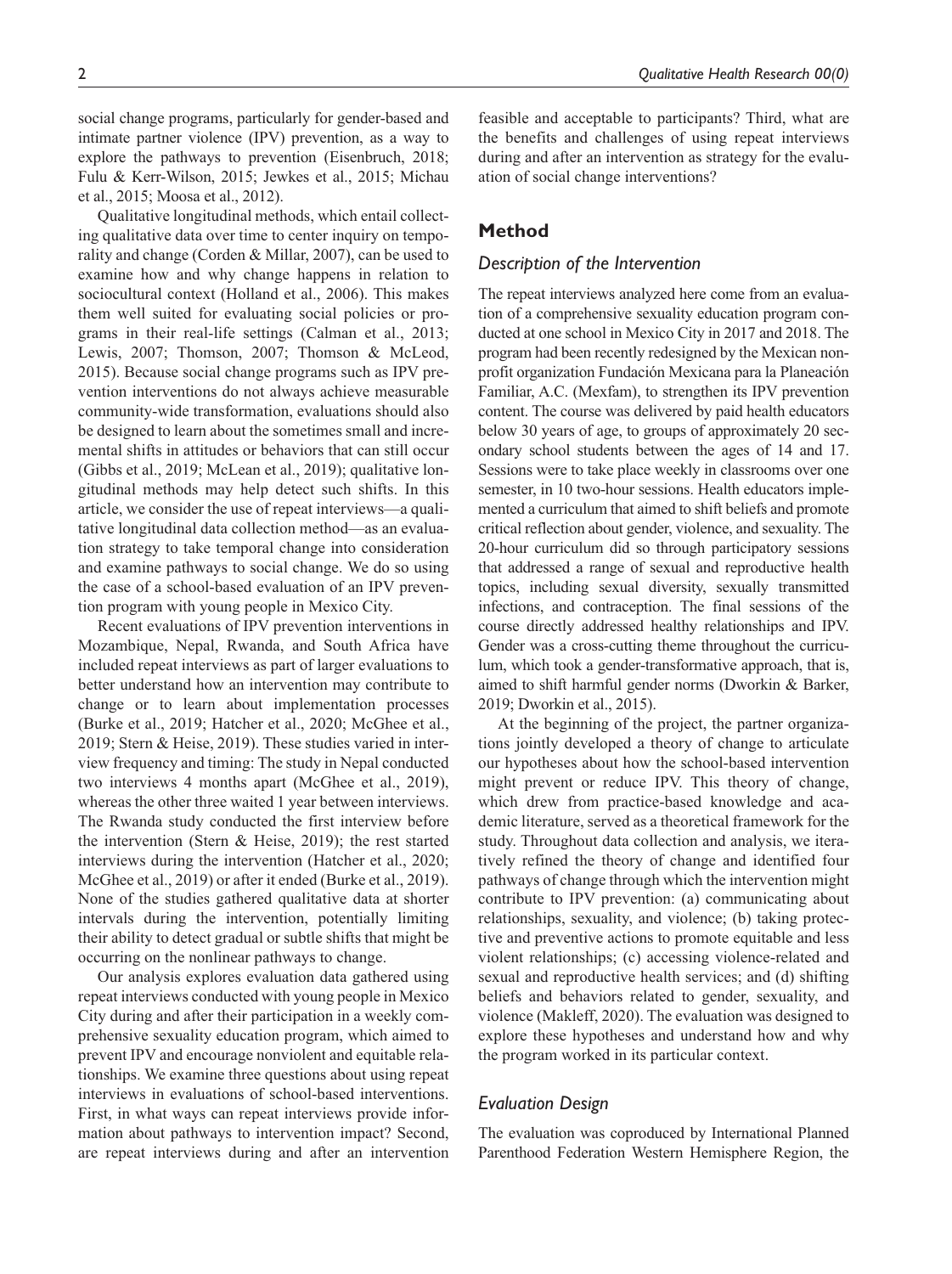social change programs, particularly for gender-based and intimate partner violence (IPV) prevention, as a way to explore the pathways to prevention (Eisenbruch, 2018; Fulu & Kerr-Wilson, 2015; Jewkes et al., 2015; Michau et al., 2015; Moosa et al., 2012).

Qualitative longitudinal methods, which entail collecting qualitative data over time to center inquiry on temporality and change (Corden & Millar, 2007), can be used to examine how and why change happens in relation to sociocultural context (Holland et al., 2006). This makes them well suited for evaluating social policies or programs in their real-life settings (Calman et al., 2013; Lewis, 2007; Thomson, 2007; Thomson & McLeod, 2015). Because social change programs such as IPV prevention interventions do not always achieve measurable community-wide transformation, evaluations should also be designed to learn about the sometimes small and incremental shifts in attitudes or behaviors that can still occur (Gibbs et al., 2019; McLean et al., 2019); qualitative longitudinal methods may help detect such shifts. In this article, we consider the use of repeat interviews—a qualitative longitudinal data collection method—as an evaluation strategy to take temporal change into consideration and examine pathways to social change. We do so using the case of a school-based evaluation of an IPV prevention program with young people in Mexico City.

Recent evaluations of IPV prevention interventions in Mozambique, Nepal, Rwanda, and South Africa have included repeat interviews as part of larger evaluations to better understand how an intervention may contribute to change or to learn about implementation processes (Burke et al., 2019; Hatcher et al., 2020; McGhee et al., 2019; Stern & Heise, 2019). These studies varied in interview frequency and timing: The study in Nepal conducted two interviews 4 months apart (McGhee et al., 2019), whereas the other three waited 1 year between interviews. The Rwanda study conducted the first interview before the intervention (Stern & Heise, 2019); the rest started interviews during the intervention (Hatcher et al., 2020; McGhee et al., 2019) or after it ended (Burke et al., 2019). None of the studies gathered qualitative data at shorter intervals during the intervention, potentially limiting their ability to detect gradual or subtle shifts that might be occurring on the nonlinear pathways to change.

Our analysis explores evaluation data gathered using repeat interviews conducted with young people in Mexico City during and after their participation in a weekly comprehensive sexuality education program, which aimed to prevent IPV and encourage nonviolent and equitable relationships. We examine three questions about using repeat interviews in evaluations of school-based interventions. First, in what ways can repeat interviews provide information about pathways to intervention impact? Second, are repeat interviews during and after an intervention feasible and acceptable to participants? Third, what are the benefits and challenges of using repeat interviews during and after an intervention as strategy for the evaluation of social change interventions?

## **Method**

## *Description of the Intervention*

The repeat interviews analyzed here come from an evaluation of a comprehensive sexuality education program conducted at one school in Mexico City in 2017 and 2018. The program had been recently redesigned by the Mexican nonprofit organization Fundación Mexicana para la Planeación Familiar, A.C. (Mexfam), to strengthen its IPV prevention content. The course was delivered by paid health educators below 30 years of age, to groups of approximately 20 secondary school students between the ages of 14 and 17. Sessions were to take place weekly in classrooms over one semester, in 10 two-hour sessions. Health educators implemented a curriculum that aimed to shift beliefs and promote critical reflection about gender, violence, and sexuality. The 20-hour curriculum did so through participatory sessions that addressed a range of sexual and reproductive health topics, including sexual diversity, sexually transmitted infections, and contraception. The final sessions of the course directly addressed healthy relationships and IPV. Gender was a cross-cutting theme throughout the curriculum, which took a gender-transformative approach, that is, aimed to shift harmful gender norms (Dworkin & Barker, 2019; Dworkin et al., 2015).

At the beginning of the project, the partner organizations jointly developed a theory of change to articulate our hypotheses about how the school-based intervention might prevent or reduce IPV. This theory of change, which drew from practice-based knowledge and academic literature, served as a theoretical framework for the study. Throughout data collection and analysis, we iteratively refined the theory of change and identified four pathways of change through which the intervention might contribute to IPV prevention: (a) communicating about relationships, sexuality, and violence; (b) taking protective and preventive actions to promote equitable and less violent relationships; (c) accessing violence-related and sexual and reproductive health services; and (d) shifting beliefs and behaviors related to gender, sexuality, and violence (Makleff, 2020). The evaluation was designed to explore these hypotheses and understand how and why the program worked in its particular context.

#### *Evaluation Design*

The evaluation was coproduced by International Planned Parenthood Federation Western Hemisphere Region, the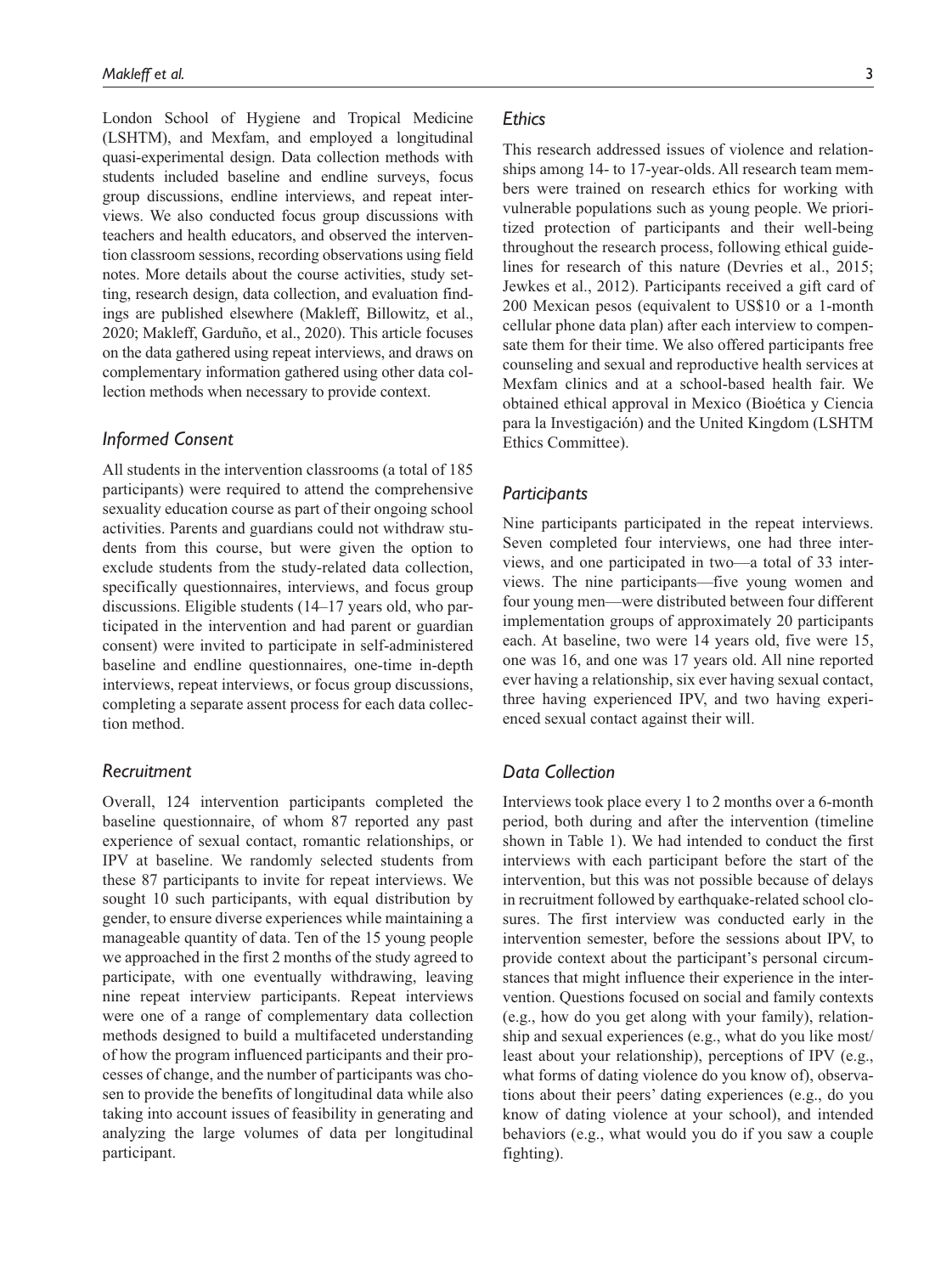London School of Hygiene and Tropical Medicine (LSHTM), and Mexfam, and employed a longitudinal quasi-experimental design. Data collection methods with students included baseline and endline surveys, focus group discussions, endline interviews, and repeat interviews. We also conducted focus group discussions with teachers and health educators, and observed the intervention classroom sessions, recording observations using field notes. More details about the course activities, study setting, research design, data collection, and evaluation findings are published elsewhere (Makleff, Billowitz, et al., 2020; Makleff, Garduño, et al., 2020). This article focuses on the data gathered using repeat interviews, and draws on complementary information gathered using other data collection methods when necessary to provide context.

## *Informed Consent*

All students in the intervention classrooms (a total of 185 participants) were required to attend the comprehensive sexuality education course as part of their ongoing school activities. Parents and guardians could not withdraw students from this course, but were given the option to exclude students from the study-related data collection, specifically questionnaires, interviews, and focus group discussions. Eligible students (14–17 years old, who participated in the intervention and had parent or guardian consent) were invited to participate in self-administered baseline and endline questionnaires, one-time in-depth interviews, repeat interviews, or focus group discussions, completing a separate assent process for each data collection method.

#### *Recruitment*

Overall, 124 intervention participants completed the baseline questionnaire, of whom 87 reported any past experience of sexual contact, romantic relationships, or IPV at baseline. We randomly selected students from these 87 participants to invite for repeat interviews. We sought 10 such participants, with equal distribution by gender, to ensure diverse experiences while maintaining a manageable quantity of data. Ten of the 15 young people we approached in the first 2 months of the study agreed to participate, with one eventually withdrawing, leaving nine repeat interview participants. Repeat interviews were one of a range of complementary data collection methods designed to build a multifaceted understanding of how the program influenced participants and their processes of change, and the number of participants was chosen to provide the benefits of longitudinal data while also taking into account issues of feasibility in generating and analyzing the large volumes of data per longitudinal participant.

## *Ethics*

This research addressed issues of violence and relationships among 14- to 17-year-olds. All research team members were trained on research ethics for working with vulnerable populations such as young people. We prioritized protection of participants and their well-being throughout the research process, following ethical guidelines for research of this nature (Devries et al., 2015; Jewkes et al., 2012). Participants received a gift card of 200 Mexican pesos (equivalent to US\$10 or a 1-month cellular phone data plan) after each interview to compensate them for their time. We also offered participants free counseling and sexual and reproductive health services at Mexfam clinics and at a school-based health fair. We obtained ethical approval in Mexico (Bioética y Ciencia para la Investigación) and the United Kingdom (LSHTM Ethics Committee).

#### *Participants*

Nine participants participated in the repeat interviews. Seven completed four interviews, one had three interviews, and one participated in two—a total of 33 interviews. The nine participants—five young women and four young men—were distributed between four different implementation groups of approximately 20 participants each. At baseline, two were 14 years old, five were 15, one was 16, and one was 17 years old. All nine reported ever having a relationship, six ever having sexual contact, three having experienced IPV, and two having experienced sexual contact against their will.

# *Data Collection*

Interviews took place every 1 to 2 months over a 6-month period, both during and after the intervention (timeline shown in Table 1). We had intended to conduct the first interviews with each participant before the start of the intervention, but this was not possible because of delays in recruitment followed by earthquake-related school closures. The first interview was conducted early in the intervention semester, before the sessions about IPV, to provide context about the participant's personal circumstances that might influence their experience in the intervention. Questions focused on social and family contexts (e.g., how do you get along with your family), relationship and sexual experiences (e.g., what do you like most/ least about your relationship), perceptions of IPV (e.g., what forms of dating violence do you know of), observations about their peers' dating experiences (e.g., do you know of dating violence at your school), and intended behaviors (e.g., what would you do if you saw a couple fighting).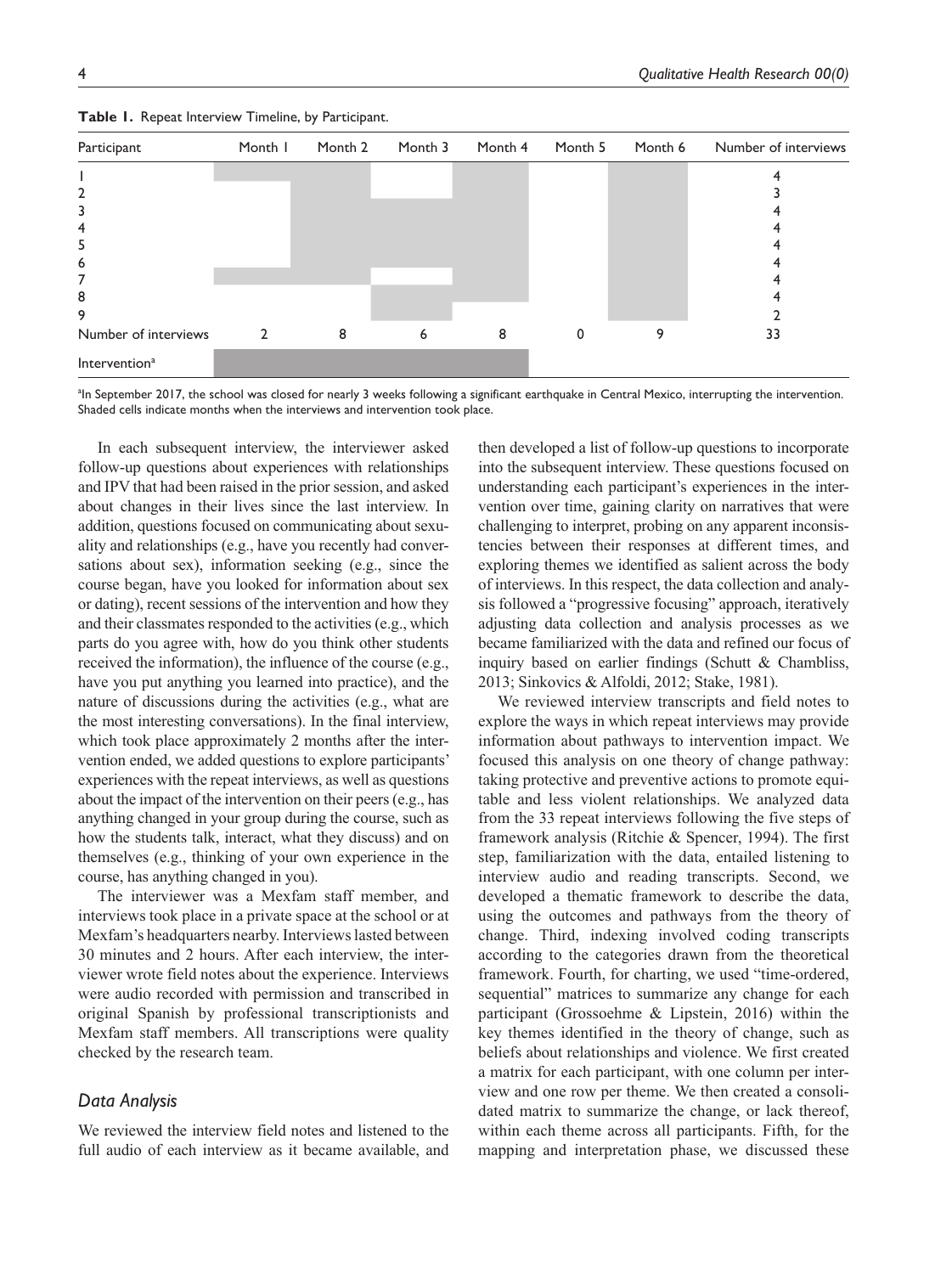| Participant               | Month I        | Month 2 | Month 3 | Month 4 | Month 5 | Month 6 | Number of interviews |
|---------------------------|----------------|---------|---------|---------|---------|---------|----------------------|
|                           |                |         |         |         |         |         |                      |
| 2                         |                |         |         |         |         |         |                      |
|                           |                |         |         |         |         |         |                      |
| 4                         |                |         |         |         |         |         |                      |
| 5                         |                |         |         |         |         |         |                      |
| 6                         |                |         |         |         |         |         |                      |
| 7                         |                |         |         |         |         |         |                      |
| 8                         |                |         |         |         |         |         |                      |
| 9                         |                |         |         |         |         |         |                      |
| Number of interviews      | $\overline{2}$ | 8       | 6       | 8       | 0       | 9       | 33                   |
| Intervention <sup>a</sup> |                |         |         |         |         |         |                      |

**Table 1.** Repeat Interview Timeline, by Participant.

a In September 2017, the school was closed for nearly 3 weeks following a significant earthquake in Central Mexico, interrupting the intervention. Shaded cells indicate months when the interviews and intervention took place.

In each subsequent interview, the interviewer asked follow-up questions about experiences with relationships and IPV that had been raised in the prior session, and asked about changes in their lives since the last interview. In addition, questions focused on communicating about sexuality and relationships (e.g., have you recently had conversations about sex), information seeking (e.g., since the course began, have you looked for information about sex or dating), recent sessions of the intervention and how they and their classmates responded to the activities (e.g., which parts do you agree with, how do you think other students received the information), the influence of the course (e.g., have you put anything you learned into practice), and the nature of discussions during the activities (e.g., what are the most interesting conversations). In the final interview, which took place approximately 2 months after the intervention ended, we added questions to explore participants' experiences with the repeat interviews, as well as questions about the impact of the intervention on their peers (e.g., has anything changed in your group during the course, such as how the students talk, interact, what they discuss) and on themselves (e.g., thinking of your own experience in the course, has anything changed in you).

The interviewer was a Mexfam staff member, and interviews took place in a private space at the school or at Mexfam's headquarters nearby. Interviews lasted between 30 minutes and 2 hours. After each interview, the interviewer wrote field notes about the experience. Interviews were audio recorded with permission and transcribed in original Spanish by professional transcriptionists and Mexfam staff members. All transcriptions were quality checked by the research team.

#### *Data Analysis*

We reviewed the interview field notes and listened to the full audio of each interview as it became available, and then developed a list of follow-up questions to incorporate into the subsequent interview. These questions focused on understanding each participant's experiences in the intervention over time, gaining clarity on narratives that were challenging to interpret, probing on any apparent inconsistencies between their responses at different times, and exploring themes we identified as salient across the body of interviews. In this respect, the data collection and analysis followed a "progressive focusing" approach, iteratively adjusting data collection and analysis processes as we became familiarized with the data and refined our focus of inquiry based on earlier findings (Schutt & Chambliss, 2013; Sinkovics & Alfoldi, 2012; Stake, 1981).

We reviewed interview transcripts and field notes to explore the ways in which repeat interviews may provide information about pathways to intervention impact. We focused this analysis on one theory of change pathway: taking protective and preventive actions to promote equitable and less violent relationships. We analyzed data from the 33 repeat interviews following the five steps of framework analysis (Ritchie & Spencer, 1994). The first step, familiarization with the data, entailed listening to interview audio and reading transcripts. Second, we developed a thematic framework to describe the data, using the outcomes and pathways from the theory of change. Third, indexing involved coding transcripts according to the categories drawn from the theoretical framework. Fourth, for charting, we used "time-ordered, sequential" matrices to summarize any change for each participant (Grossoehme & Lipstein, 2016) within the key themes identified in the theory of change, such as beliefs about relationships and violence. We first created a matrix for each participant, with one column per interview and one row per theme. We then created a consolidated matrix to summarize the change, or lack thereof, within each theme across all participants. Fifth, for the mapping and interpretation phase, we discussed these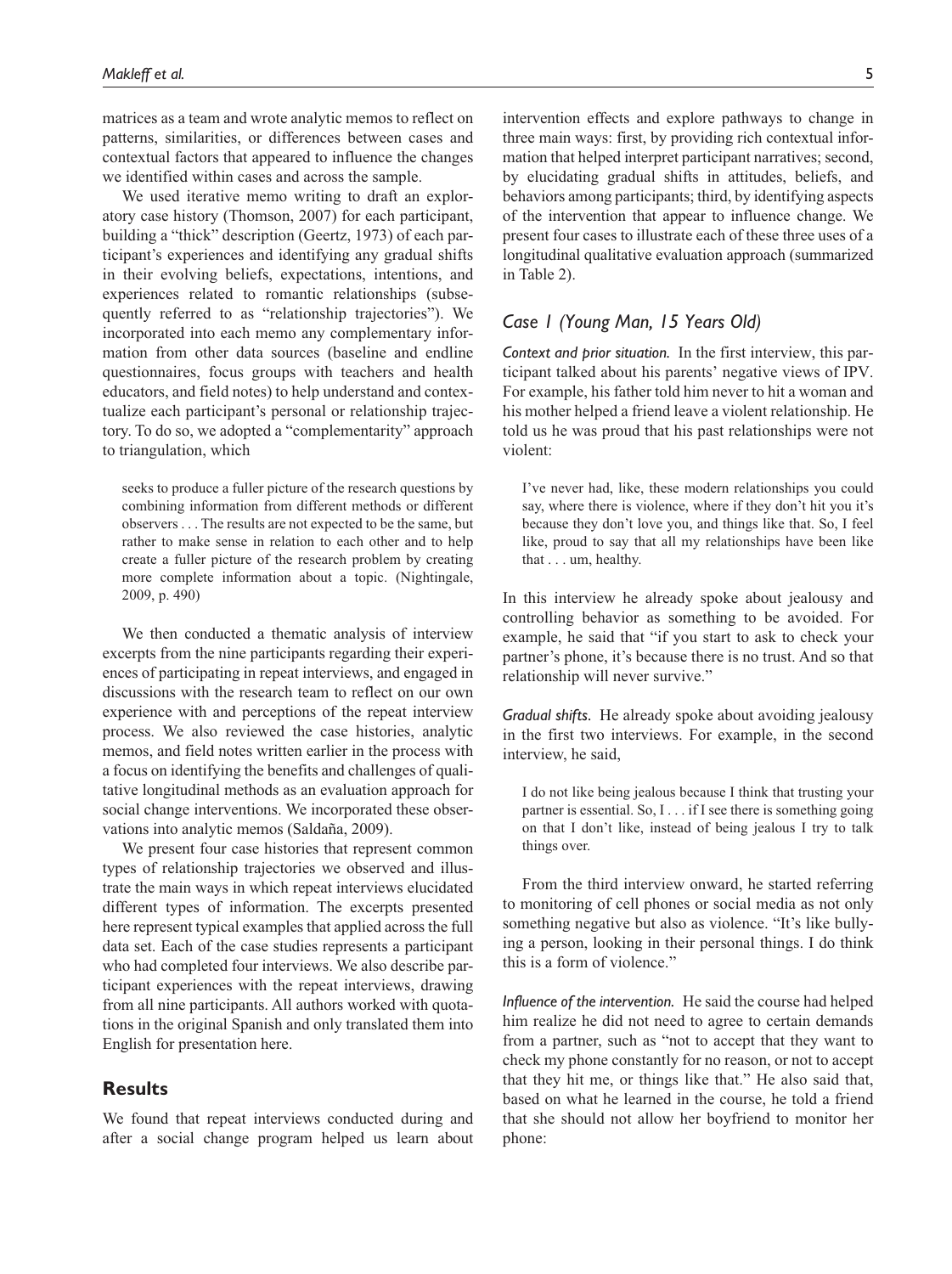matrices as a team and wrote analytic memos to reflect on patterns, similarities, or differences between cases and contextual factors that appeared to influence the changes we identified within cases and across the sample.

We used iterative memo writing to draft an exploratory case history (Thomson, 2007) for each participant, building a "thick" description (Geertz, 1973) of each participant's experiences and identifying any gradual shifts in their evolving beliefs, expectations, intentions, and experiences related to romantic relationships (subsequently referred to as "relationship trajectories"). We incorporated into each memo any complementary information from other data sources (baseline and endline questionnaires, focus groups with teachers and health educators, and field notes) to help understand and contextualize each participant's personal or relationship trajectory. To do so, we adopted a "complementarity" approach to triangulation, which

seeks to produce a fuller picture of the research questions by combining information from different methods or different observers . . . The results are not expected to be the same, but rather to make sense in relation to each other and to help create a fuller picture of the research problem by creating more complete information about a topic. (Nightingale, 2009, p. 490)

We then conducted a thematic analysis of interview excerpts from the nine participants regarding their experiences of participating in repeat interviews, and engaged in discussions with the research team to reflect on our own experience with and perceptions of the repeat interview process. We also reviewed the case histories, analytic memos, and field notes written earlier in the process with a focus on identifying the benefits and challenges of qualitative longitudinal methods as an evaluation approach for social change interventions. We incorporated these observations into analytic memos (Saldaña, 2009).

We present four case histories that represent common types of relationship trajectories we observed and illustrate the main ways in which repeat interviews elucidated different types of information. The excerpts presented here represent typical examples that applied across the full data set. Each of the case studies represents a participant who had completed four interviews. We also describe participant experiences with the repeat interviews, drawing from all nine participants. All authors worked with quotations in the original Spanish and only translated them into English for presentation here.

## **Results**

We found that repeat interviews conducted during and after a social change program helped us learn about intervention effects and explore pathways to change in three main ways: first, by providing rich contextual information that helped interpret participant narratives; second, by elucidating gradual shifts in attitudes, beliefs, and behaviors among participants; third, by identifying aspects of the intervention that appear to influence change. We present four cases to illustrate each of these three uses of a longitudinal qualitative evaluation approach (summarized in Table 2).

## *Case 1 (Young Man, 15 Years Old)*

*Context and prior situation.* In the first interview, this participant talked about his parents' negative views of IPV. For example, his father told him never to hit a woman and his mother helped a friend leave a violent relationship. He told us he was proud that his past relationships were not violent:

I've never had, like, these modern relationships you could say, where there is violence, where if they don't hit you it's because they don't love you, and things like that. So, I feel like, proud to say that all my relationships have been like that . . . um, healthy.

In this interview he already spoke about jealousy and controlling behavior as something to be avoided. For example, he said that "if you start to ask to check your partner's phone, it's because there is no trust. And so that relationship will never survive."

*Gradual shifts.* He already spoke about avoiding jealousy in the first two interviews. For example, in the second interview, he said,

I do not like being jealous because I think that trusting your partner is essential. So, I . . . if I see there is something going on that I don't like, instead of being jealous I try to talk things over.

From the third interview onward, he started referring to monitoring of cell phones or social media as not only something negative but also as violence. "It's like bullying a person, looking in their personal things. I do think this is a form of violence."

*Influence of the intervention.* He said the course had helped him realize he did not need to agree to certain demands from a partner, such as "not to accept that they want to check my phone constantly for no reason, or not to accept that they hit me, or things like that." He also said that, based on what he learned in the course, he told a friend that she should not allow her boyfriend to monitor her phone: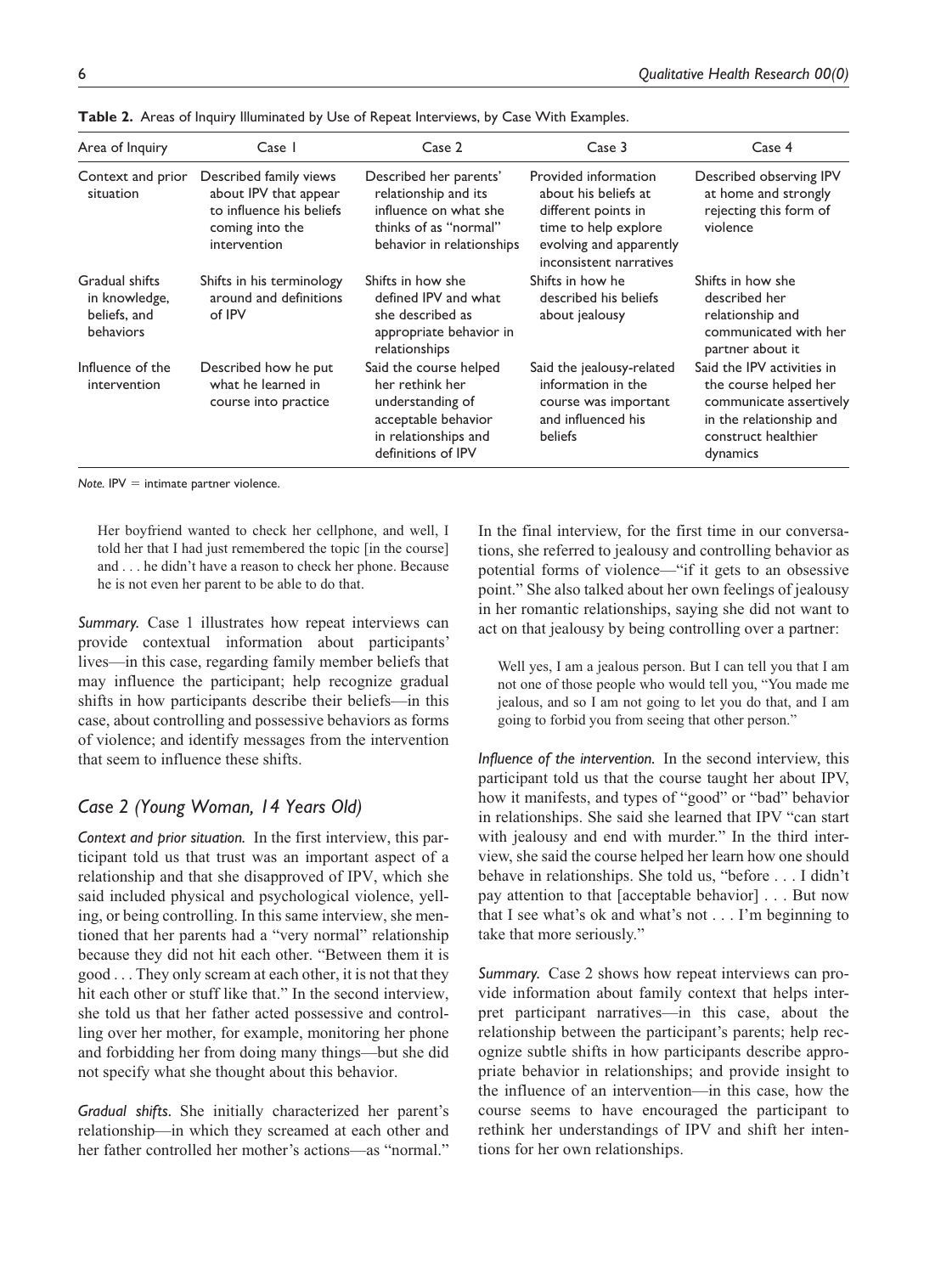| Area of Inquiry                                              | Case 1                                                                                                         | Case 2                                                                                                                             | Case 3                                                                                                                                            | Case 4                                                                                                                                       |
|--------------------------------------------------------------|----------------------------------------------------------------------------------------------------------------|------------------------------------------------------------------------------------------------------------------------------------|---------------------------------------------------------------------------------------------------------------------------------------------------|----------------------------------------------------------------------------------------------------------------------------------------------|
| Context and prior<br>situation                               | Described family views<br>about IPV that appear<br>to influence his beliefs<br>coming into the<br>intervention | Described her parents'<br>relationship and its<br>influence on what she<br>thinks of as "normal"<br>behavior in relationships      | Provided information<br>about his beliefs at<br>different points in<br>time to help explore<br>evolving and apparently<br>inconsistent narratives | Described observing IPV<br>at home and strongly<br>rejecting this form of<br>violence                                                        |
| Gradual shifts<br>in knowledge,<br>beliefs, and<br>behaviors | Shifts in his terminology<br>around and definitions<br>of IPV                                                  | Shifts in how she<br>defined IPV and what<br>she described as<br>appropriate behavior in<br>relationships                          | Shifts in how he<br>described his beliefs<br>about jealousy                                                                                       | Shifts in how she<br>described her<br>relationship and<br>communicated with her<br>partner about it                                          |
| Influence of the<br>intervention                             | Described how he put<br>what he learned in<br>course into practice                                             | Said the course helped<br>her rethink her<br>understanding of<br>acceptable behavior<br>in relationships and<br>definitions of IPV | Said the jealousy-related<br>information in the<br>course was important<br>and influenced his<br>beliefs                                          | Said the IPV activities in<br>the course helped her<br>communicate assertively<br>in the relationship and<br>construct healthier<br>dynamics |

**Table 2.** Areas of Inquiry Illuminated by Use of Repeat Interviews, by Case With Examples.

 $Note.$  IPV  $=$  intimate partner violence.

Her boyfriend wanted to check her cellphone, and well, I told her that I had just remembered the topic [in the course] and . . . he didn't have a reason to check her phone. Because he is not even her parent to be able to do that.

*Summary.* Case 1 illustrates how repeat interviews can provide contextual information about participants' lives—in this case, regarding family member beliefs that may influence the participant; help recognize gradual shifts in how participants describe their beliefs—in this case, about controlling and possessive behaviors as forms of violence; and identify messages from the intervention that seem to influence these shifts.

# *Case 2 (Young Woman, 14 Years Old)*

*Context and prior situation.* In the first interview, this participant told us that trust was an important aspect of a relationship and that she disapproved of IPV, which she said included physical and psychological violence, yelling, or being controlling. In this same interview, she mentioned that her parents had a "very normal" relationship because they did not hit each other. "Between them it is good . . . They only scream at each other, it is not that they hit each other or stuff like that." In the second interview, she told us that her father acted possessive and controlling over her mother, for example, monitoring her phone and forbidding her from doing many things—but she did not specify what she thought about this behavior.

*Gradual shifts.* She initially characterized her parent's relationship—in which they screamed at each other and her father controlled her mother's actions—as "normal." In the final interview, for the first time in our conversations, she referred to jealousy and controlling behavior as potential forms of violence—"if it gets to an obsessive point." She also talked about her own feelings of jealousy in her romantic relationships, saying she did not want to act on that jealousy by being controlling over a partner:

Well yes, I am a jealous person. But I can tell you that I am not one of those people who would tell you, "You made me jealous, and so I am not going to let you do that, and I am going to forbid you from seeing that other person."

*Influence of the intervention.* In the second interview, this participant told us that the course taught her about IPV, how it manifests, and types of "good" or "bad" behavior in relationships. She said she learned that IPV "can start with jealousy and end with murder." In the third interview, she said the course helped her learn how one should behave in relationships. She told us, "before . . . I didn't pay attention to that [acceptable behavior] . . . But now that I see what's ok and what's not . . . I'm beginning to take that more seriously."

*Summary.* Case 2 shows how repeat interviews can provide information about family context that helps interpret participant narratives—in this case, about the relationship between the participant's parents; help recognize subtle shifts in how participants describe appropriate behavior in relationships; and provide insight to the influence of an intervention—in this case, how the course seems to have encouraged the participant to rethink her understandings of IPV and shift her intentions for her own relationships.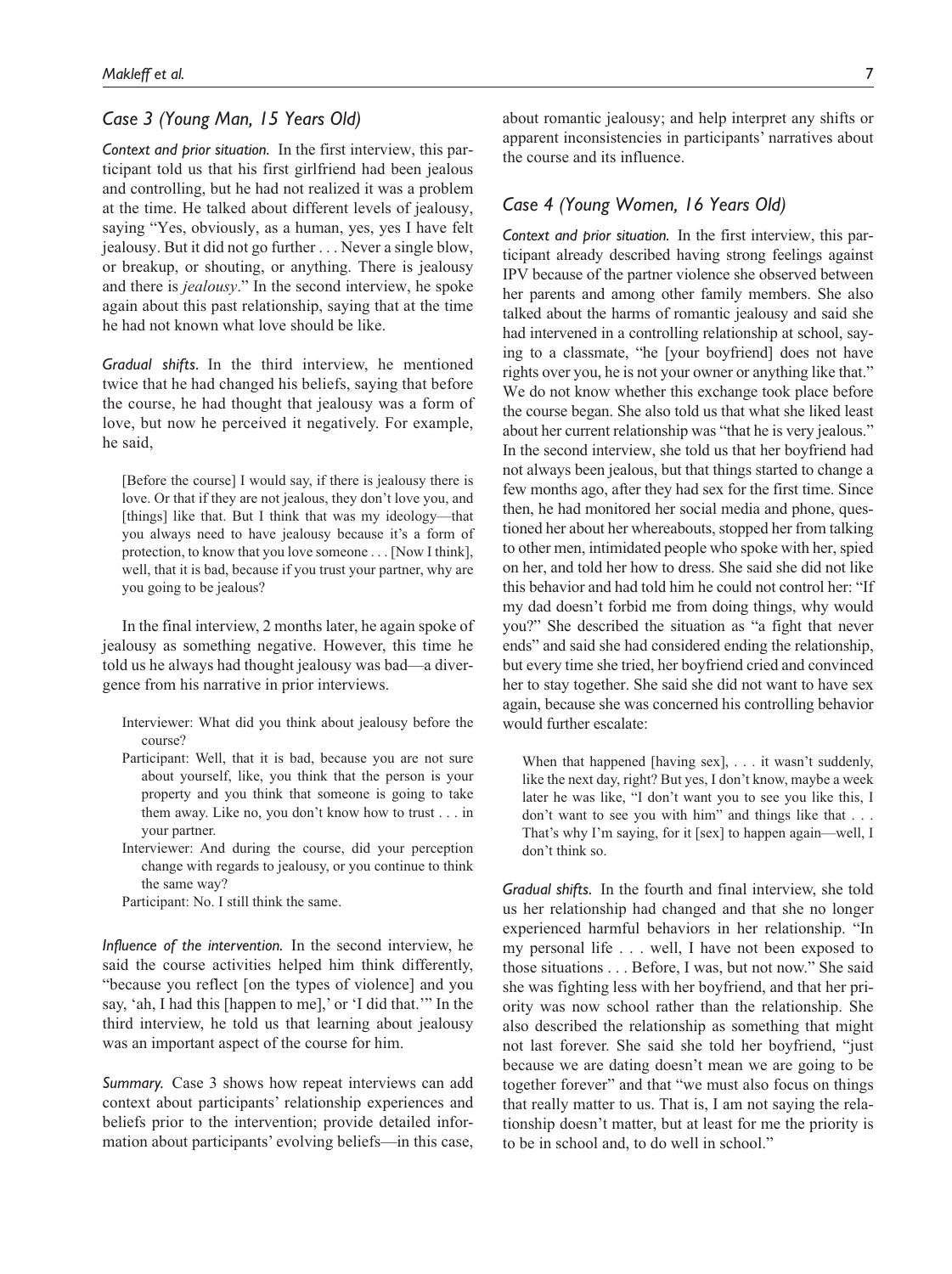## *Case 3 (Young Man, 15 Years Old)*

*Context and prior situation.* In the first interview, this participant told us that his first girlfriend had been jealous and controlling, but he had not realized it was a problem at the time. He talked about different levels of jealousy, saying "Yes, obviously, as a human, yes, yes I have felt jealousy. But it did not go further . . . Never a single blow, or breakup, or shouting, or anything. There is jealousy and there is *jealousy*." In the second interview, he spoke again about this past relationship, saying that at the time he had not known what love should be like.

*Gradual shifts.* In the third interview, he mentioned twice that he had changed his beliefs, saying that before the course, he had thought that jealousy was a form of love, but now he perceived it negatively. For example, he said,

[Before the course] I would say, if there is jealousy there is love. Or that if they are not jealous, they don't love you, and [things] like that. But I think that was my ideology—that you always need to have jealousy because it's a form of protection, to know that you love someone . . . [Now I think], well, that it is bad, because if you trust your partner, why are you going to be jealous?

In the final interview, 2 months later, he again spoke of jealousy as something negative. However, this time he told us he always had thought jealousy was bad—a divergence from his narrative in prior interviews.

- Interviewer: What did you think about jealousy before the course?
- Participant: Well, that it is bad, because you are not sure about yourself, like, you think that the person is your property and you think that someone is going to take them away. Like no, you don't know how to trust . . . in your partner.
- Interviewer: And during the course, did your perception change with regards to jealousy, or you continue to think the same way?
- Participant: No. I still think the same.

*Influence of the intervention.* In the second interview, he said the course activities helped him think differently, "because you reflect [on the types of violence] and you say, 'ah, I had this [happen to me],' or 'I did that.'" In the third interview, he told us that learning about jealousy was an important aspect of the course for him.

*Summary.* Case 3 shows how repeat interviews can add context about participants' relationship experiences and beliefs prior to the intervention; provide detailed information about participants' evolving beliefs—in this case,

about romantic jealousy; and help interpret any shifts or apparent inconsistencies in participants' narratives about the course and its influence.

## *Case 4 (Young Women, 16 Years Old)*

*Context and prior situation.* In the first interview, this participant already described having strong feelings against IPV because of the partner violence she observed between her parents and among other family members. She also talked about the harms of romantic jealousy and said she had intervened in a controlling relationship at school, saying to a classmate, "he [your boyfriend] does not have rights over you, he is not your owner or anything like that." We do not know whether this exchange took place before the course began. She also told us that what she liked least about her current relationship was "that he is very jealous." In the second interview, she told us that her boyfriend had not always been jealous, but that things started to change a few months ago, after they had sex for the first time. Since then, he had monitored her social media and phone, questioned her about her whereabouts, stopped her from talking to other men, intimidated people who spoke with her, spied on her, and told her how to dress. She said she did not like this behavior and had told him he could not control her: "If my dad doesn't forbid me from doing things, why would you?" She described the situation as "a fight that never ends" and said she had considered ending the relationship, but every time she tried, her boyfriend cried and convinced her to stay together. She said she did not want to have sex again, because she was concerned his controlling behavior would further escalate:

When that happened [having sex], . . . it wasn't suddenly, like the next day, right? But yes, I don't know, maybe a week later he was like, "I don't want you to see you like this, I don't want to see you with him" and things like that . . . That's why I'm saying, for it [sex] to happen again—well, I don't think so.

*Gradual shifts.* In the fourth and final interview, she told us her relationship had changed and that she no longer experienced harmful behaviors in her relationship. "In my personal life . . . well, I have not been exposed to those situations . . . Before, I was, but not now." She said she was fighting less with her boyfriend, and that her priority was now school rather than the relationship. She also described the relationship as something that might not last forever. She said she told her boyfriend, "just because we are dating doesn't mean we are going to be together forever" and that "we must also focus on things that really matter to us. That is, I am not saying the relationship doesn't matter, but at least for me the priority is to be in school and, to do well in school."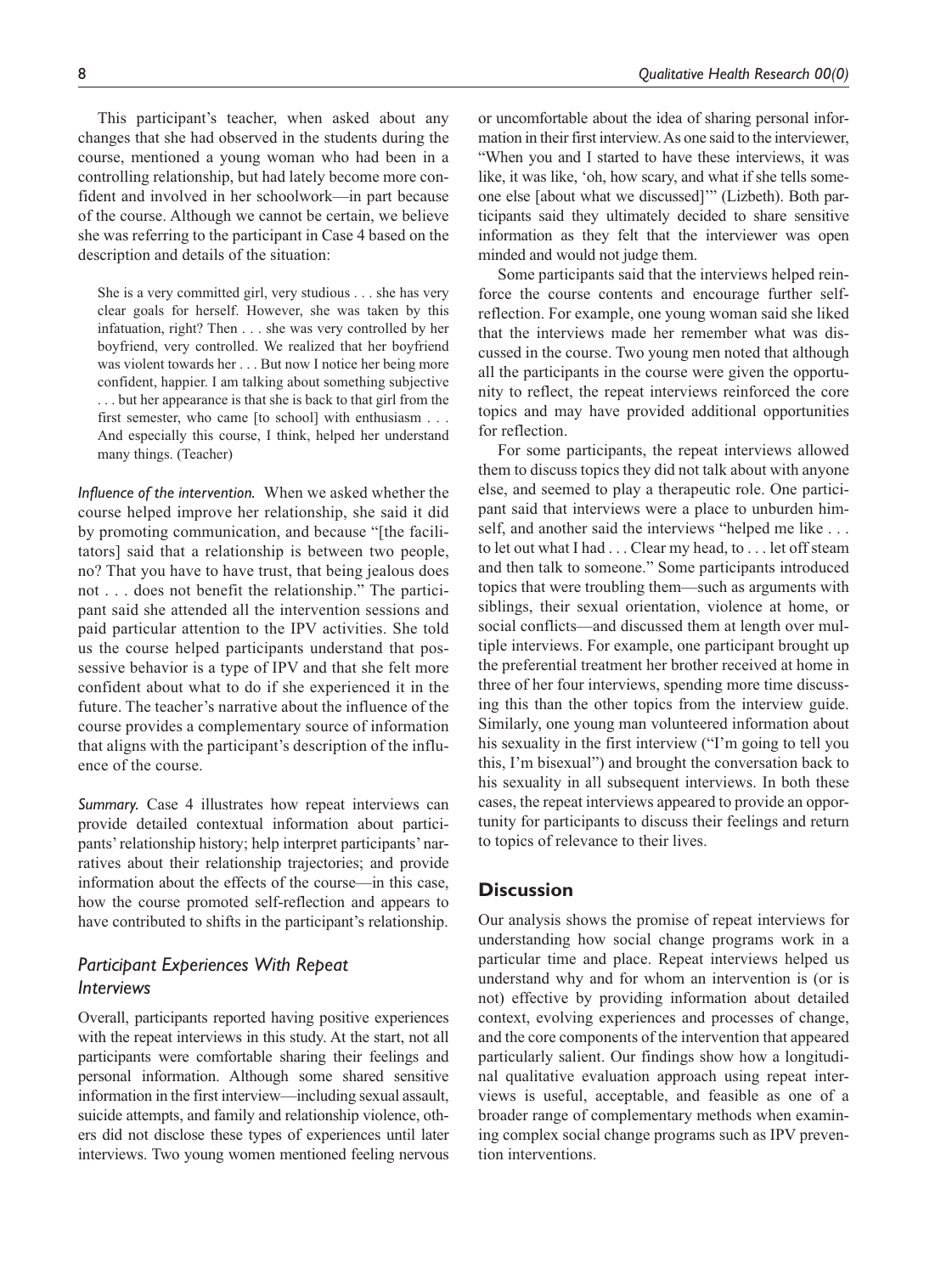This participant's teacher, when asked about any changes that she had observed in the students during the course, mentioned a young woman who had been in a controlling relationship, but had lately become more confident and involved in her schoolwork—in part because of the course. Although we cannot be certain, we believe she was referring to the participant in Case 4 based on the description and details of the situation:

She is a very committed girl, very studious . . . she has very clear goals for herself. However, she was taken by this infatuation, right? Then . . . she was very controlled by her boyfriend, very controlled. We realized that her boyfriend was violent towards her . . . But now I notice her being more confident, happier. I am talking about something subjective . . . but her appearance is that she is back to that girl from the first semester, who came [to school] with enthusiasm . . . And especially this course, I think, helped her understand many things. (Teacher)

*Influence of the intervention.* When we asked whether the course helped improve her relationship, she said it did by promoting communication, and because "[the facilitators] said that a relationship is between two people, no? That you have to have trust, that being jealous does not . . . does not benefit the relationship." The participant said she attended all the intervention sessions and paid particular attention to the IPV activities. She told us the course helped participants understand that possessive behavior is a type of IPV and that she felt more confident about what to do if she experienced it in the future. The teacher's narrative about the influence of the course provides a complementary source of information that aligns with the participant's description of the influence of the course.

*Summary.* Case 4 illustrates how repeat interviews can provide detailed contextual information about participants' relationship history; help interpret participants' narratives about their relationship trajectories; and provide information about the effects of the course—in this case, how the course promoted self-reflection and appears to have contributed to shifts in the participant's relationship.

## *Participant Experiences With Repeat Interviews*

Overall, participants reported having positive experiences with the repeat interviews in this study. At the start, not all participants were comfortable sharing their feelings and personal information. Although some shared sensitive information in the first interview—including sexual assault, suicide attempts, and family and relationship violence, others did not disclose these types of experiences until later interviews. Two young women mentioned feeling nervous or uncomfortable about the idea of sharing personal information in their first interview. As one said to the interviewer, "When you and I started to have these interviews, it was like, it was like, 'oh, how scary, and what if she tells someone else [about what we discussed]'" (Lizbeth). Both participants said they ultimately decided to share sensitive information as they felt that the interviewer was open minded and would not judge them.

Some participants said that the interviews helped reinforce the course contents and encourage further selfreflection. For example, one young woman said she liked that the interviews made her remember what was discussed in the course. Two young men noted that although all the participants in the course were given the opportunity to reflect, the repeat interviews reinforced the core topics and may have provided additional opportunities for reflection.

For some participants, the repeat interviews allowed them to discuss topics they did not talk about with anyone else, and seemed to play a therapeutic role. One participant said that interviews were a place to unburden himself, and another said the interviews "helped me like . . . to let out what I had . . . Clear my head, to . . . let off steam and then talk to someone." Some participants introduced topics that were troubling them—such as arguments with siblings, their sexual orientation, violence at home, or social conflicts—and discussed them at length over multiple interviews. For example, one participant brought up the preferential treatment her brother received at home in three of her four interviews, spending more time discussing this than the other topics from the interview guide. Similarly, one young man volunteered information about his sexuality in the first interview ("I'm going to tell you this, I'm bisexual") and brought the conversation back to his sexuality in all subsequent interviews. In both these cases, the repeat interviews appeared to provide an opportunity for participants to discuss their feelings and return to topics of relevance to their lives.

## **Discussion**

Our analysis shows the promise of repeat interviews for understanding how social change programs work in a particular time and place. Repeat interviews helped us understand why and for whom an intervention is (or is not) effective by providing information about detailed context, evolving experiences and processes of change, and the core components of the intervention that appeared particularly salient. Our findings show how a longitudinal qualitative evaluation approach using repeat interviews is useful, acceptable, and feasible as one of a broader range of complementary methods when examining complex social change programs such as IPV prevention interventions.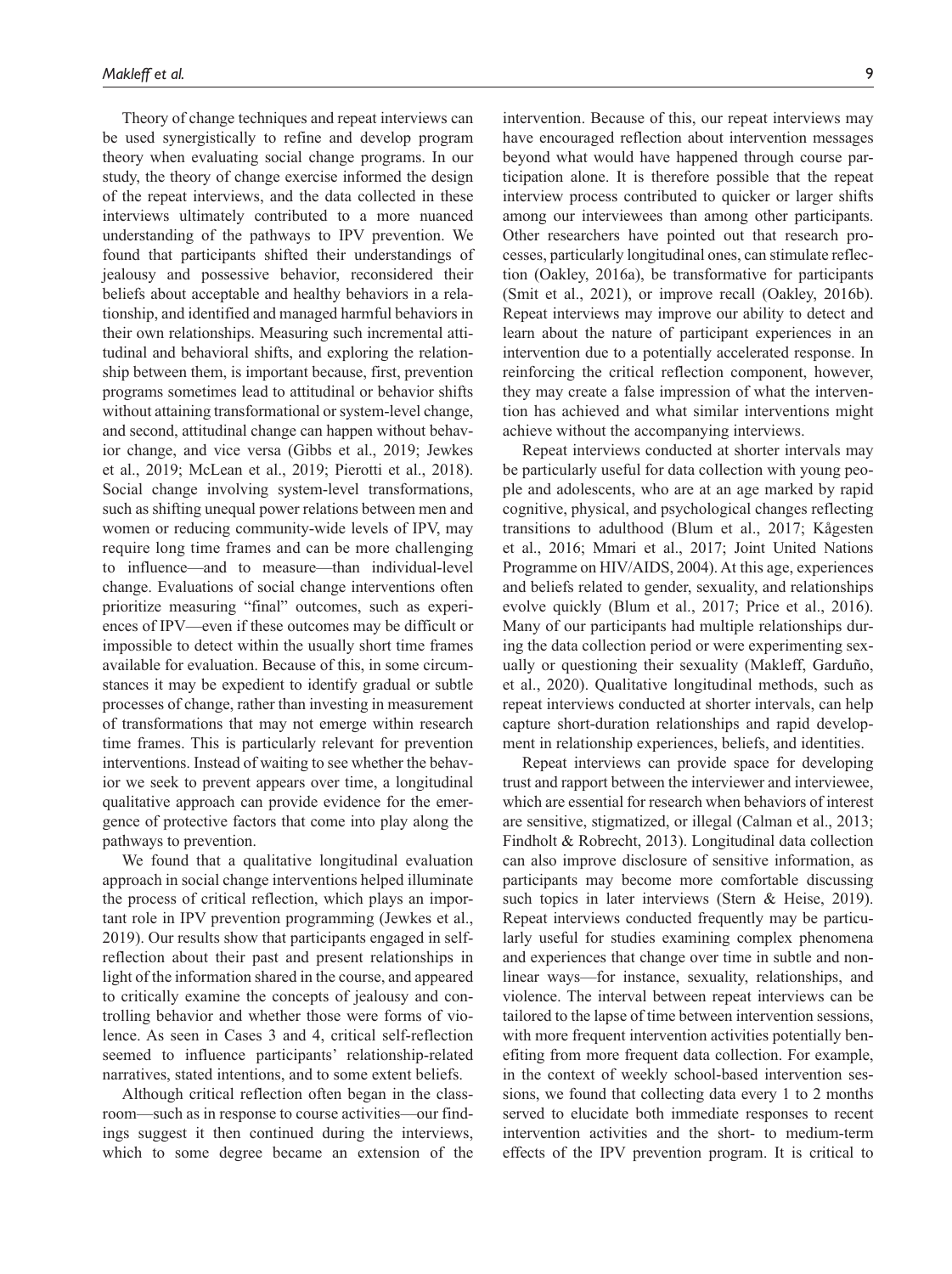Theory of change techniques and repeat interviews can be used synergistically to refine and develop program theory when evaluating social change programs. In our study, the theory of change exercise informed the design of the repeat interviews, and the data collected in these interviews ultimately contributed to a more nuanced understanding of the pathways to IPV prevention. We found that participants shifted their understandings of jealousy and possessive behavior, reconsidered their beliefs about acceptable and healthy behaviors in a relationship, and identified and managed harmful behaviors in their own relationships. Measuring such incremental attitudinal and behavioral shifts, and exploring the relationship between them, is important because, first, prevention programs sometimes lead to attitudinal or behavior shifts without attaining transformational or system-level change, and second, attitudinal change can happen without behavior change, and vice versa (Gibbs et al., 2019; Jewkes et al., 2019; McLean et al., 2019; Pierotti et al., 2018). Social change involving system-level transformations, such as shifting unequal power relations between men and women or reducing community-wide levels of IPV, may require long time frames and can be more challenging to influence—and to measure—than individual-level change. Evaluations of social change interventions often prioritize measuring "final" outcomes, such as experiences of IPV—even if these outcomes may be difficult or impossible to detect within the usually short time frames available for evaluation. Because of this, in some circumstances it may be expedient to identify gradual or subtle processes of change, rather than investing in measurement of transformations that may not emerge within research time frames. This is particularly relevant for prevention interventions. Instead of waiting to see whether the behavior we seek to prevent appears over time, a longitudinal qualitative approach can provide evidence for the emergence of protective factors that come into play along the pathways to prevention.

We found that a qualitative longitudinal evaluation approach in social change interventions helped illuminate the process of critical reflection, which plays an important role in IPV prevention programming (Jewkes et al., 2019). Our results show that participants engaged in selfreflection about their past and present relationships in light of the information shared in the course, and appeared to critically examine the concepts of jealousy and controlling behavior and whether those were forms of violence. As seen in Cases 3 and 4, critical self-reflection seemed to influence participants' relationship-related narratives, stated intentions, and to some extent beliefs.

Although critical reflection often began in the classroom—such as in response to course activities—our findings suggest it then continued during the interviews, which to some degree became an extension of the intervention. Because of this, our repeat interviews may have encouraged reflection about intervention messages beyond what would have happened through course participation alone. It is therefore possible that the repeat interview process contributed to quicker or larger shifts among our interviewees than among other participants. Other researchers have pointed out that research processes, particularly longitudinal ones, can stimulate reflection (Oakley, 2016a), be transformative for participants (Smit et al., 2021), or improve recall (Oakley, 2016b). Repeat interviews may improve our ability to detect and learn about the nature of participant experiences in an intervention due to a potentially accelerated response. In reinforcing the critical reflection component, however, they may create a false impression of what the intervention has achieved and what similar interventions might achieve without the accompanying interviews.

Repeat interviews conducted at shorter intervals may be particularly useful for data collection with young people and adolescents, who are at an age marked by rapid cognitive, physical, and psychological changes reflecting transitions to adulthood (Blum et al., 2017; Kågesten et al., 2016; Mmari et al., 2017; Joint United Nations Programme on HIV/AIDS, 2004). At this age, experiences and beliefs related to gender, sexuality, and relationships evolve quickly (Blum et al., 2017; Price et al., 2016). Many of our participants had multiple relationships during the data collection period or were experimenting sexually or questioning their sexuality (Makleff, Garduño, et al., 2020). Qualitative longitudinal methods, such as repeat interviews conducted at shorter intervals, can help capture short-duration relationships and rapid development in relationship experiences, beliefs, and identities.

Repeat interviews can provide space for developing trust and rapport between the interviewer and interviewee, which are essential for research when behaviors of interest are sensitive, stigmatized, or illegal (Calman et al., 2013; Findholt & Robrecht, 2013). Longitudinal data collection can also improve disclosure of sensitive information, as participants may become more comfortable discussing such topics in later interviews (Stern & Heise, 2019). Repeat interviews conducted frequently may be particularly useful for studies examining complex phenomena and experiences that change over time in subtle and nonlinear ways—for instance, sexuality, relationships, and violence. The interval between repeat interviews can be tailored to the lapse of time between intervention sessions, with more frequent intervention activities potentially benefiting from more frequent data collection. For example, in the context of weekly school-based intervention sessions, we found that collecting data every 1 to 2 months served to elucidate both immediate responses to recent intervention activities and the short- to medium-term effects of the IPV prevention program. It is critical to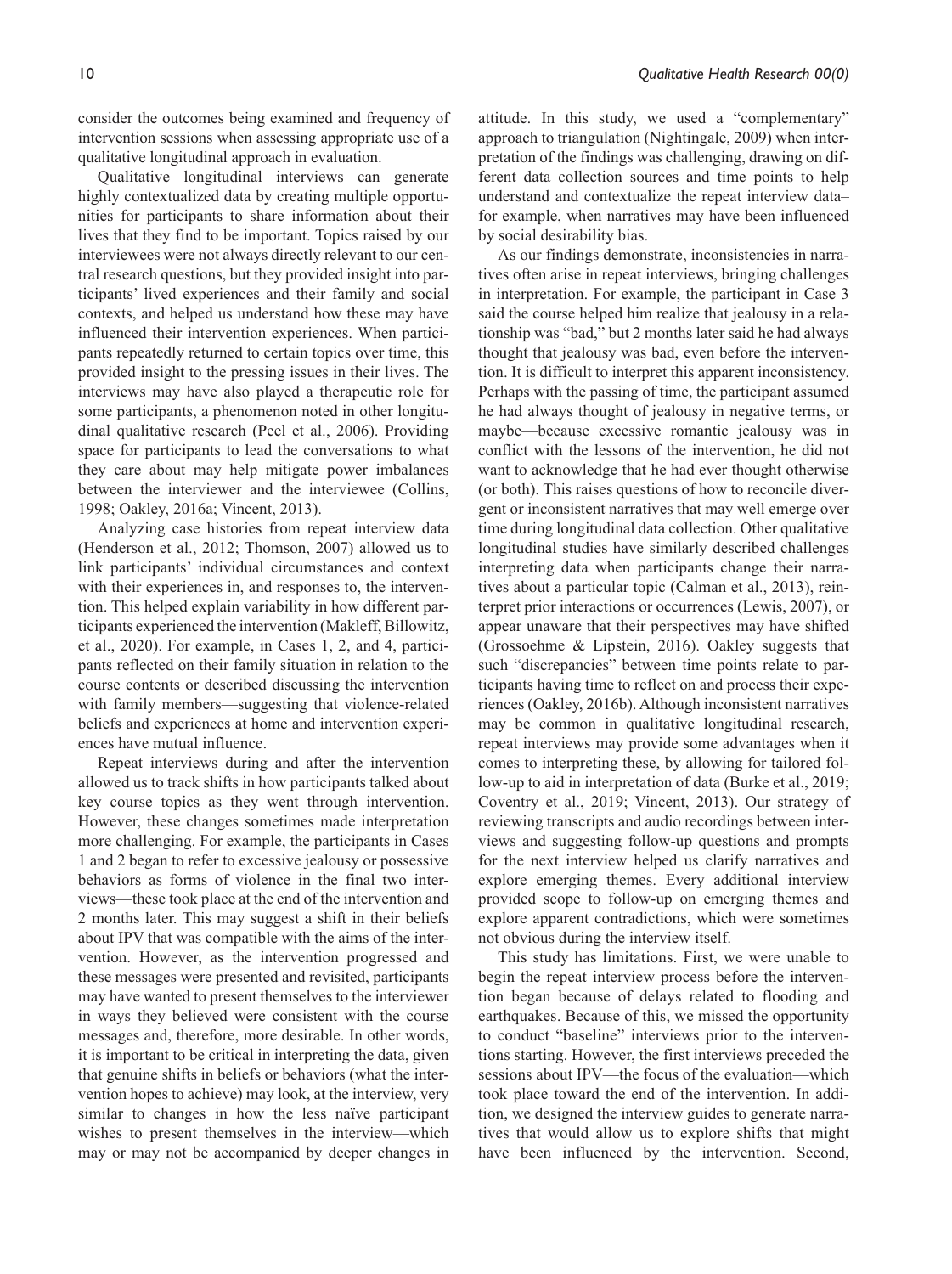consider the outcomes being examined and frequency of intervention sessions when assessing appropriate use of a qualitative longitudinal approach in evaluation.

Qualitative longitudinal interviews can generate highly contextualized data by creating multiple opportunities for participants to share information about their lives that they find to be important. Topics raised by our interviewees were not always directly relevant to our central research questions, but they provided insight into participants' lived experiences and their family and social contexts, and helped us understand how these may have influenced their intervention experiences. When participants repeatedly returned to certain topics over time, this provided insight to the pressing issues in their lives. The interviews may have also played a therapeutic role for some participants, a phenomenon noted in other longitudinal qualitative research (Peel et al., 2006). Providing space for participants to lead the conversations to what they care about may help mitigate power imbalances between the interviewer and the interviewee (Collins, 1998; Oakley, 2016a; Vincent, 2013).

Analyzing case histories from repeat interview data (Henderson et al., 2012; Thomson, 2007) allowed us to link participants' individual circumstances and context with their experiences in, and responses to, the intervention. This helped explain variability in how different participants experienced the intervention (Makleff, Billowitz, et al., 2020). For example, in Cases 1, 2, and 4, participants reflected on their family situation in relation to the course contents or described discussing the intervention with family members—suggesting that violence-related beliefs and experiences at home and intervention experiences have mutual influence.

Repeat interviews during and after the intervention allowed us to track shifts in how participants talked about key course topics as they went through intervention. However, these changes sometimes made interpretation more challenging. For example, the participants in Cases 1 and 2 began to refer to excessive jealousy or possessive behaviors as forms of violence in the final two interviews—these took place at the end of the intervention and 2 months later. This may suggest a shift in their beliefs about IPV that was compatible with the aims of the intervention. However, as the intervention progressed and these messages were presented and revisited, participants may have wanted to present themselves to the interviewer in ways they believed were consistent with the course messages and, therefore, more desirable. In other words, it is important to be critical in interpreting the data, given that genuine shifts in beliefs or behaviors (what the intervention hopes to achieve) may look, at the interview, very similar to changes in how the less naïve participant wishes to present themselves in the interview—which may or may not be accompanied by deeper changes in

attitude. In this study, we used a "complementary" approach to triangulation (Nightingale, 2009) when interpretation of the findings was challenging, drawing on different data collection sources and time points to help understand and contextualize the repeat interview data– for example, when narratives may have been influenced by social desirability bias.

As our findings demonstrate, inconsistencies in narratives often arise in repeat interviews, bringing challenges in interpretation. For example, the participant in Case 3 said the course helped him realize that jealousy in a relationship was "bad," but 2 months later said he had always thought that jealousy was bad, even before the intervention. It is difficult to interpret this apparent inconsistency. Perhaps with the passing of time, the participant assumed he had always thought of jealousy in negative terms, or maybe—because excessive romantic jealousy was in conflict with the lessons of the intervention, he did not want to acknowledge that he had ever thought otherwise (or both). This raises questions of how to reconcile divergent or inconsistent narratives that may well emerge over time during longitudinal data collection. Other qualitative longitudinal studies have similarly described challenges interpreting data when participants change their narratives about a particular topic (Calman et al., 2013), reinterpret prior interactions or occurrences (Lewis, 2007), or appear unaware that their perspectives may have shifted (Grossoehme & Lipstein, 2016). Oakley suggests that such "discrepancies" between time points relate to participants having time to reflect on and process their experiences (Oakley, 2016b). Although inconsistent narratives may be common in qualitative longitudinal research, repeat interviews may provide some advantages when it comes to interpreting these, by allowing for tailored follow-up to aid in interpretation of data (Burke et al., 2019; Coventry et al., 2019; Vincent, 2013). Our strategy of reviewing transcripts and audio recordings between interviews and suggesting follow-up questions and prompts for the next interview helped us clarify narratives and explore emerging themes. Every additional interview provided scope to follow-up on emerging themes and explore apparent contradictions, which were sometimes not obvious during the interview itself.

This study has limitations. First, we were unable to begin the repeat interview process before the intervention began because of delays related to flooding and earthquakes. Because of this, we missed the opportunity to conduct "baseline" interviews prior to the interventions starting. However, the first interviews preceded the sessions about IPV—the focus of the evaluation—which took place toward the end of the intervention. In addition, we designed the interview guides to generate narratives that would allow us to explore shifts that might have been influenced by the intervention. Second,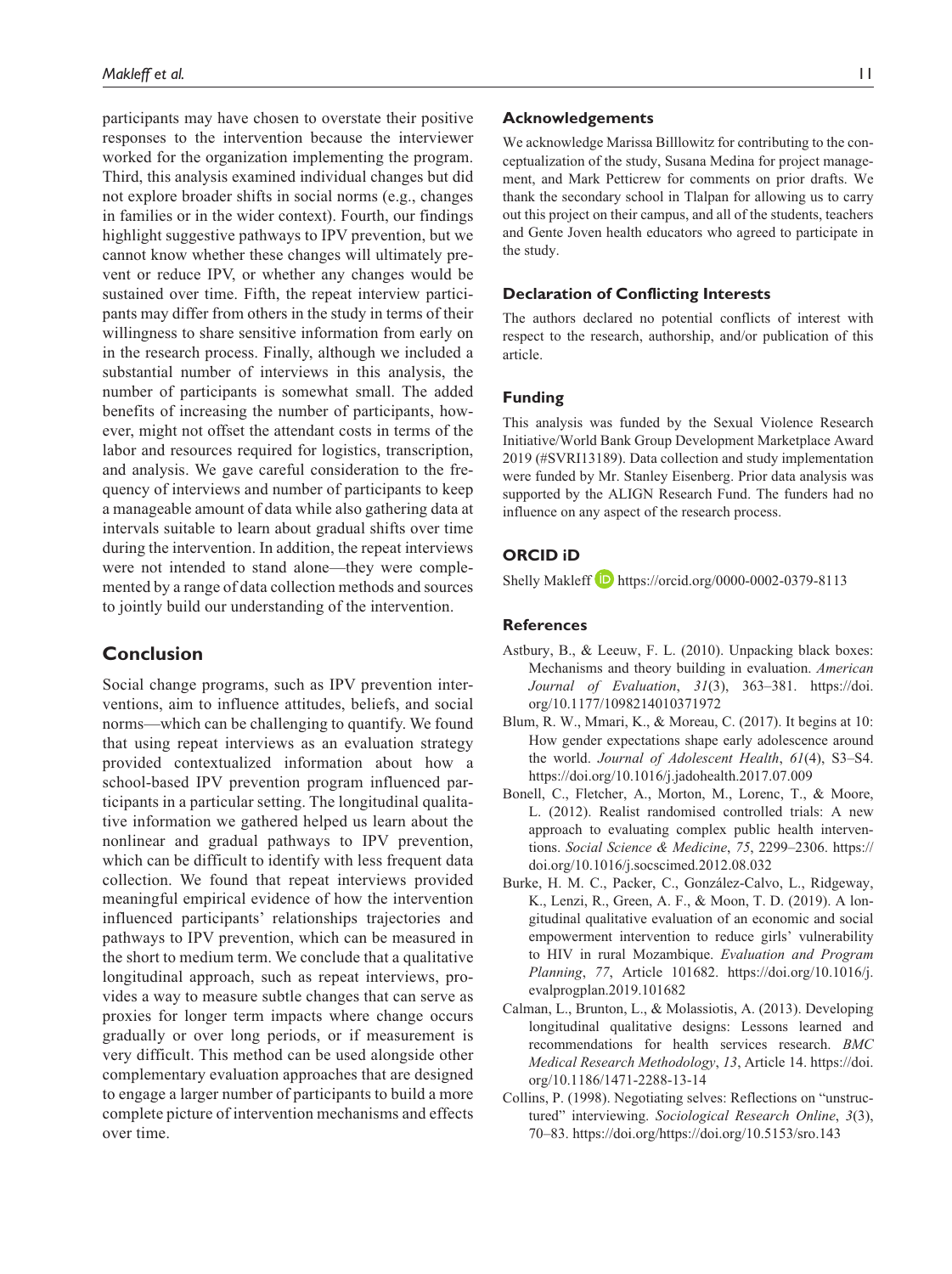participants may have chosen to overstate their positive responses to the intervention because the interviewer worked for the organization implementing the program. Third, this analysis examined individual changes but did not explore broader shifts in social norms (e.g., changes in families or in the wider context). Fourth, our findings highlight suggestive pathways to IPV prevention, but we cannot know whether these changes will ultimately prevent or reduce IPV, or whether any changes would be sustained over time. Fifth, the repeat interview participants may differ from others in the study in terms of their willingness to share sensitive information from early on in the research process. Finally, although we included a substantial number of interviews in this analysis, the number of participants is somewhat small. The added benefits of increasing the number of participants, however, might not offset the attendant costs in terms of the labor and resources required for logistics, transcription, and analysis. We gave careful consideration to the frequency of interviews and number of participants to keep a manageable amount of data while also gathering data at intervals suitable to learn about gradual shifts over time during the intervention. In addition, the repeat interviews were not intended to stand alone—they were complemented by a range of data collection methods and sources to jointly build our understanding of the intervention.

# **Conclusion**

Social change programs, such as IPV prevention interventions, aim to influence attitudes, beliefs, and social norms—which can be challenging to quantify. We found that using repeat interviews as an evaluation strategy provided contextualized information about how a school-based IPV prevention program influenced participants in a particular setting. The longitudinal qualitative information we gathered helped us learn about the nonlinear and gradual pathways to IPV prevention, which can be difficult to identify with less frequent data collection. We found that repeat interviews provided meaningful empirical evidence of how the intervention influenced participants' relationships trajectories and pathways to IPV prevention, which can be measured in the short to medium term. We conclude that a qualitative longitudinal approach, such as repeat interviews, provides a way to measure subtle changes that can serve as proxies for longer term impacts where change occurs gradually or over long periods, or if measurement is very difficult. This method can be used alongside other complementary evaluation approaches that are designed to engage a larger number of participants to build a more complete picture of intervention mechanisms and effects over time.

#### **Acknowledgements**

We acknowledge Marissa Billlowitz for contributing to the conceptualization of the study, Susana Medina for project management, and Mark Petticrew for comments on prior drafts. We thank the secondary school in Tlalpan for allowing us to carry out this project on their campus, and all of the students, teachers and Gente Joven health educators who agreed to participate in the study.

#### **Declaration of Conflicting Interests**

The authors declared no potential conflicts of interest with respect to the research, authorship, and/or publication of this article.

#### **Funding**

This analysis was funded by the Sexual Violence Research Initiative/World Bank Group Development Marketplace Award 2019 (#SVRI13189). Data collection and study implementation were funded by Mr. Stanley Eisenberg. Prior data analysis was supported by the ALIGN Research Fund. The funders had no influence on any aspect of the research process.

## **ORCID iD**

Shelly Makleff **b** <https://orcid.org/0000-0002-0379-8113>

#### **References**

- Astbury, B., & Leeuw, F. L. (2010). Unpacking black boxes: Mechanisms and theory building in evaluation. *American Journal of Evaluation*, *31*(3), 363–381. [https://doi.](https://doi.org/10.1177/1098214010371972) [org/10.1177/1098214010371972](https://doi.org/10.1177/1098214010371972)
- Blum, R. W., Mmari, K., & Moreau, C. (2017). It begins at 10: How gender expectations shape early adolescence around the world. *Journal of Adolescent Health*, *61*(4), S3–S4. <https://doi.org/10.1016/j.jadohealth.2017.07.009>
- Bonell, C., Fletcher, A., Morton, M., Lorenc, T., & Moore, L. (2012). Realist randomised controlled trials: A new approach to evaluating complex public health interventions. *Social Science & Medicine*, *75*, 2299–2306. [https://](https://doi.org/10.1016/j.socscimed.2012.08.032) [doi.org/10.1016/j.socscimed.2012.08.032](https://doi.org/10.1016/j.socscimed.2012.08.032)
- Burke, H. M. C., Packer, C., González-Calvo, L., Ridgeway, K., Lenzi, R., Green, A. F., & Moon, T. D. (2019). A longitudinal qualitative evaluation of an economic and social empowerment intervention to reduce girls' vulnerability to HIV in rural Mozambique. *Evaluation and Program Planning*, *77*, Article 101682. [https://doi.org/10.1016/j.](https://doi.org/10.1016/j.evalprogplan.2019.101682) [evalprogplan.2019.101682](https://doi.org/10.1016/j.evalprogplan.2019.101682)
- Calman, L., Brunton, L., & Molassiotis, A. (2013). Developing longitudinal qualitative designs: Lessons learned and recommendations for health services research. *BMC Medical Research Methodology*, *13*, Article 14. [https://doi.](https://doi.org/10.1186/1471-2288-13-14) [org/10.1186/1471-2288-13-14](https://doi.org/10.1186/1471-2288-13-14)
- Collins, P. (1998). Negotiating selves: Reflections on "unstructured" interviewing. *Sociological Research Online*, *3*(3), 70–83.<https://doi.org/https://doi.org/10.5153/sro.143>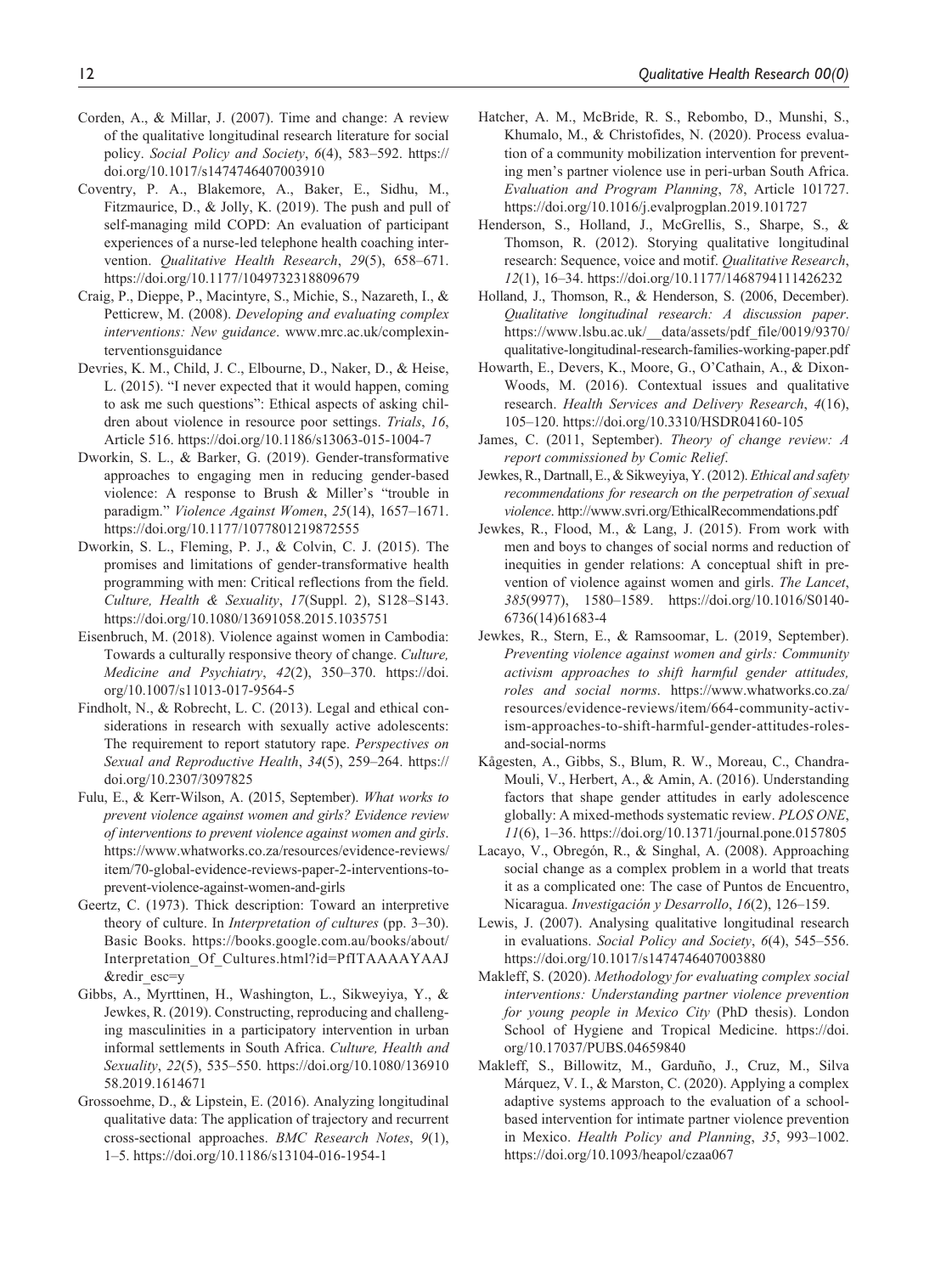- Corden, A., & Millar, J. (2007). Time and change: A review of the qualitative longitudinal research literature for social policy. *Social Policy and Society*, *6*(4), 583–592. [https://](https://doi.org/10.1017/s1474746407003910) [doi.org/10.1017/s1474746407003910](https://doi.org/10.1017/s1474746407003910)
- Coventry, P. A., Blakemore, A., Baker, E., Sidhu, M., Fitzmaurice, D., & Jolly, K. (2019). The push and pull of self-managing mild COPD: An evaluation of participant experiences of a nurse-led telephone health coaching intervention. *Qualitative Health Research*, *29*(5), 658–671. <https://doi.org/10.1177/1049732318809679>
- Craig, P., Dieppe, P., Macintyre, S., Michie, S., Nazareth, I., & Petticrew, M. (2008). *Developing and evaluating complex interventions: New guidance*. [www.mrc.ac.uk/complexin](www.mrc.ac.uk/complexinterventionsguidance)[terventionsguidance](www.mrc.ac.uk/complexinterventionsguidance)
- Devries, K. M., Child, J. C., Elbourne, D., Naker, D., & Heise, L. (2015). "I never expected that it would happen, coming to ask me such questions": Ethical aspects of asking children about violence in resource poor settings. *Trials*, *16*, Article 516.<https://doi.org/10.1186/s13063-015-1004-7>
- Dworkin, S. L., & Barker, G. (2019). Gender-transformative approaches to engaging men in reducing gender-based violence: A response to Brush & Miller's "trouble in paradigm." *Violence Against Women*, *25*(14), 1657–1671. <https://doi.org/10.1177/1077801219872555>
- Dworkin, S. L., Fleming, P. J., & Colvin, C. J. (2015). The promises and limitations of gender-transformative health programming with men: Critical reflections from the field. *Culture, Health & Sexuality*, *17*(Suppl. 2), S128–S143. <https://doi.org/10.1080/13691058.2015.1035751>
- Eisenbruch, M. (2018). Violence against women in Cambodia: Towards a culturally responsive theory of change. *Culture, Medicine and Psychiatry*, *42*(2), 350–370. [https://doi.](https://doi.org/10.1007/s11013-017-9564-5) [org/10.1007/s11013-017-9564-5](https://doi.org/10.1007/s11013-017-9564-5)
- Findholt, N., & Robrecht, L. C. (2013). Legal and ethical considerations in research with sexually active adolescents: The requirement to report statutory rape. *Perspectives on Sexual and Reproductive Health*, *34*(5), 259–264. [https://](https://doi.org/10.2307/3097825) [doi.org/10.2307/3097825](https://doi.org/10.2307/3097825)
- Fulu, E., & Kerr-Wilson, A. (2015, September). *What works to prevent violence against women and girls? Evidence review of interventions to prevent violence against women and girls*. [https://www.whatworks.co.za/resources/evidence-reviews/](https://www.whatworks.co.za/resources/evidence-reviews/item/70-global-evidence-reviews-paper-2-interventions-to-prevent-violence-against-women-and-girls) [item/70-global-evidence-reviews-paper-2-interventions-to](https://www.whatworks.co.za/resources/evidence-reviews/item/70-global-evidence-reviews-paper-2-interventions-to-prevent-violence-against-women-and-girls)[prevent-violence-against-women-and-girls](https://www.whatworks.co.za/resources/evidence-reviews/item/70-global-evidence-reviews-paper-2-interventions-to-prevent-violence-against-women-and-girls)
- Geertz, C. (1973). Thick description: Toward an interpretive theory of culture. In *Interpretation of cultures* (pp. 3–30). Basic Books. [https://books.google.com.au/books/about/](https://books.google.com.au/books/about/Interpretation_Of_Cultures.html?id=PfITAAAAYAAJ&redir_esc=y) [Interpretation\\_Of\\_Cultures.html?id=PfITAAAAYAAJ](https://books.google.com.au/books/about/Interpretation_Of_Cultures.html?id=PfITAAAAYAAJ&redir_esc=y) [&redir\\_esc=y](https://books.google.com.au/books/about/Interpretation_Of_Cultures.html?id=PfITAAAAYAAJ&redir_esc=y)
- Gibbs, A., Myrttinen, H., Washington, L., Sikweyiya, Y., & Jewkes, R. (2019). Constructing, reproducing and challenging masculinities in a participatory intervention in urban informal settlements in South Africa. *Culture, Health and Sexuality*, *22*(5), 535–550. [https://doi.org/10.1080/136910](https://doi.org/10.1080/13691058.2019.1614671) [58.2019.1614671](https://doi.org/10.1080/13691058.2019.1614671)
- Grossoehme, D., & Lipstein, E. (2016). Analyzing longitudinal qualitative data: The application of trajectory and recurrent cross-sectional approaches. *BMC Research Notes*, *9*(1), 1–5.<https://doi.org/10.1186/s13104-016-1954-1>
- Hatcher, A. M., McBride, R. S., Rebombo, D., Munshi, S., Khumalo, M., & Christofides, N. (2020). Process evaluation of a community mobilization intervention for preventing men's partner violence use in peri-urban South Africa. *Evaluation and Program Planning*, *78*, Article 101727. <https://doi.org/10.1016/j.evalprogplan.2019.101727>
- Henderson, S., Holland, J., McGrellis, S., Sharpe, S., & Thomson, R. (2012). Storying qualitative longitudinal research: Sequence, voice and motif. *Qualitative Research*, *12*(1), 16–34.<https://doi.org/10.1177/1468794111426232>
- Holland, J., Thomson, R., & Henderson, S. (2006, December). *Qualitative longitudinal research: A discussion paper*. [https://www.lsbu.ac.uk/\\_\\_data/assets/pdf\\_file/0019/9370/](https://www.lsbu.ac.uk/__data/assets/pdf_file/0019/9370/qualitative-longitudinal-research-families-working-paper.pdf) [qualitative-longitudinal-research-families-working-paper.pdf](https://www.lsbu.ac.uk/__data/assets/pdf_file/0019/9370/qualitative-longitudinal-research-families-working-paper.pdf)
- Howarth, E., Devers, K., Moore, G., O'Cathain, A., & Dixon-Woods, M. (2016). Contextual issues and qualitative research. *Health Services and Delivery Research*, *4*(16), 105–120.<https://doi.org/10.3310/HSDR04160-105>
- James, C. (2011, September). *Theory of change review: A report commissioned by Comic Relief*.
- Jewkes, R., Dartnall, E., & Sikweyiya, Y. (2012). *Ethical and safety recommendations for research on the perpetration of sexual violence*. <http://www.svri.org/EthicalRecommendations.pdf>
- Jewkes, R., Flood, M., & Lang, J. (2015). From work with men and boys to changes of social norms and reduction of inequities in gender relations: A conceptual shift in prevention of violence against women and girls. *The Lancet*, *385*(9977), 1580–1589. [https://doi.org/10.1016/S0140-](https://doi.org/10.1016/S0140-6736(14)61683-4) [6736\(14\)61683-4](https://doi.org/10.1016/S0140-6736(14)61683-4)
- Jewkes, R., Stern, E., & Ramsoomar, L. (2019, September). *Preventing violence against women and girls: Community activism approaches to shift harmful gender attitudes, roles and social norms*. [https://www.whatworks.co.za/](https://www.whatworks.co.za/resources/evidence-reviews/item/664-community-activism-approaches-to-shift-harmful-gender-attitudes-roles-and-social-norms) [resources/evidence-reviews/item/664-community-activ](https://www.whatworks.co.za/resources/evidence-reviews/item/664-community-activism-approaches-to-shift-harmful-gender-attitudes-roles-and-social-norms)[ism-approaches-to-shift-harmful-gender-attitudes-roles](https://www.whatworks.co.za/resources/evidence-reviews/item/664-community-activism-approaches-to-shift-harmful-gender-attitudes-roles-and-social-norms)[and-social-norms](https://www.whatworks.co.za/resources/evidence-reviews/item/664-community-activism-approaches-to-shift-harmful-gender-attitudes-roles-and-social-norms)
- Kågesten, A., Gibbs, S., Blum, R. W., Moreau, C., Chandra-Mouli, V., Herbert, A., & Amin, A. (2016). Understanding factors that shape gender attitudes in early adolescence globally: A mixed-methods systematic review. *PLOS ONE*, *11*(6), 1–36.<https://doi.org/10.1371/journal.pone.0157805>
- Lacayo, V., Obregón, R., & Singhal, A. (2008). Approaching social change as a complex problem in a world that treats it as a complicated one: The case of Puntos de Encuentro, Nicaragua. *Investigación y Desarrollo*, *16*(2), 126–159.
- Lewis, J. (2007). Analysing qualitative longitudinal research in evaluations. *Social Policy and Society*, *6*(4), 545–556. <https://doi.org/10.1017/s1474746407003880>
- Makleff, S. (2020). *Methodology for evaluating complex social interventions: Understanding partner violence prevention for young people in Mexico City* (PhD thesis). London School of Hygiene and Tropical Medicine. [https://doi.](https://doi.org/10.17037/PUBS.04659840) [org/10.17037/PUBS.04659840](https://doi.org/10.17037/PUBS.04659840)
- Makleff, S., Billowitz, M., Garduño, J., Cruz, M., Silva Márquez, V. I., & Marston, C. (2020). Applying a complex adaptive systems approach to the evaluation of a schoolbased intervention for intimate partner violence prevention in Mexico. *Health Policy and Planning*, *35*, 993–1002. <https://doi.org/10.1093/heapol/czaa067>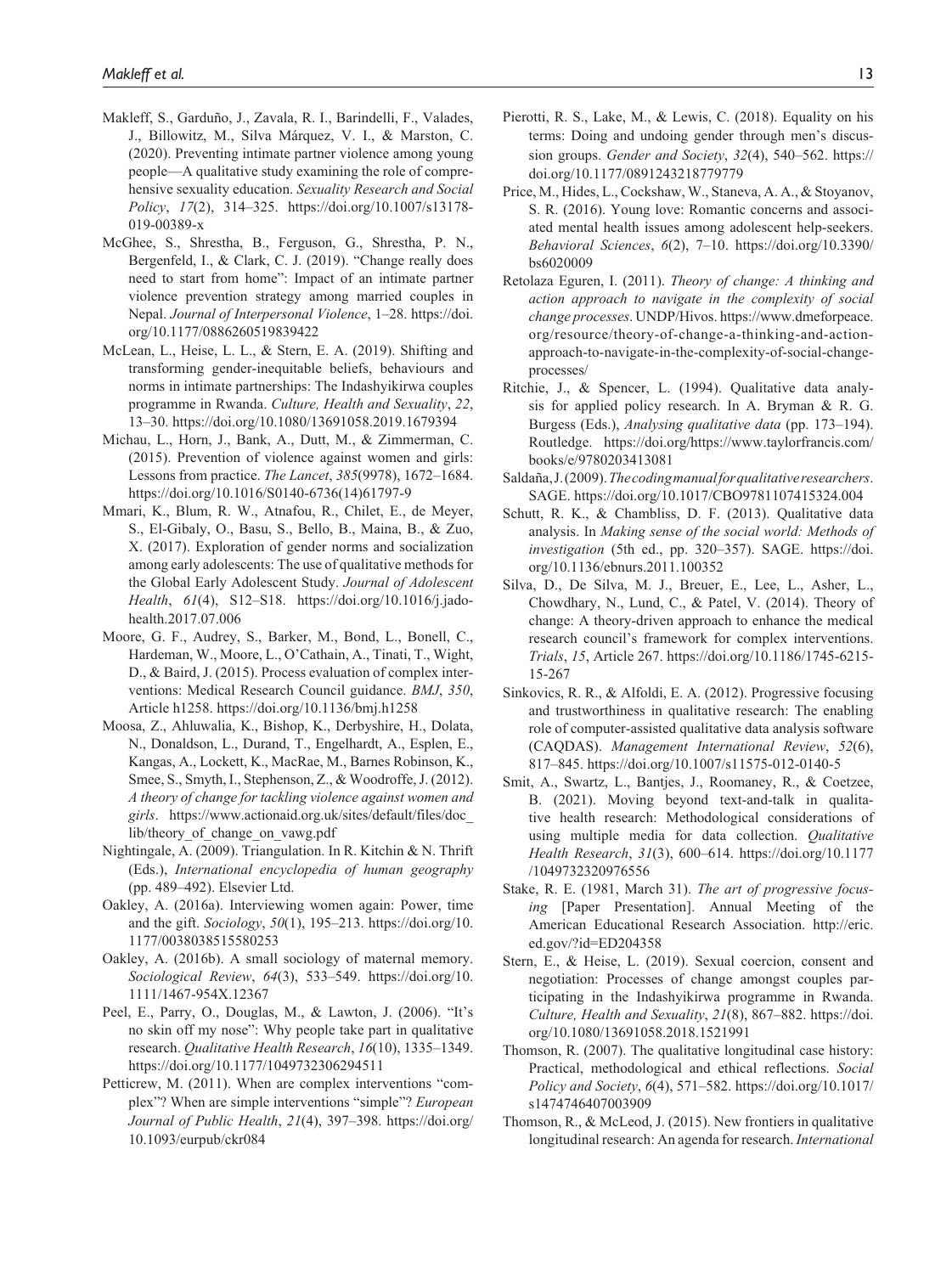- Makleff, S., Garduño, J., Zavala, R. I., Barindelli, F., Valades, J., Billowitz, M., Silva Márquez, V. I., & Marston, C. (2020). Preventing intimate partner violence among young people—A qualitative study examining the role of comprehensive sexuality education. *Sexuality Research and Social Policy*, *17*(2), 314–325. [https://doi.org/10.1007/s13178-](https://doi.org/10.1007/s13178-019-00389-x) [019-00389-x](https://doi.org/10.1007/s13178-019-00389-x)
- McGhee, S., Shrestha, B., Ferguson, G., Shrestha, P. N., Bergenfeld, I., & Clark, C. J. (2019). "Change really does need to start from home": Impact of an intimate partner violence prevention strategy among married couples in Nepal. *Journal of Interpersonal Violence*, 1–28. [https://doi.](https://doi.org/10.1177/0886260519839422) [org/10.1177/0886260519839422](https://doi.org/10.1177/0886260519839422)
- McLean, L., Heise, L. L., & Stern, E. A. (2019). Shifting and transforming gender-inequitable beliefs, behaviours and norms in intimate partnerships: The Indashyikirwa couples programme in Rwanda. *Culture, Health and Sexuality*, *22*, 13–30.<https://doi.org/10.1080/13691058.2019.1679394>
- Michau, L., Horn, J., Bank, A., Dutt, M., & Zimmerman, C. (2015). Prevention of violence against women and girls: Lessons from practice. *The Lancet*, *385*(9978), 1672–1684. [https://doi.org/10.1016/S0140-6736\(14\)61797-9](https://doi.org/10.1016/S0140-6736(14)61797-9)
- Mmari, K., Blum, R. W., Atnafou, R., Chilet, E., de Meyer, S., El-Gibaly, O., Basu, S., Bello, B., Maina, B., & Zuo, X. (2017). Exploration of gender norms and socialization among early adolescents: The use of qualitative methods for the Global Early Adolescent Study. *Journal of Adolescent Health*, *61*(4), S12–S18. [https://doi.org/10.1016/j.jado](https://doi.org/10.1016/j.jadohealth.2017.07.006)[health.2017.07.006](https://doi.org/10.1016/j.jadohealth.2017.07.006)
- Moore, G. F., Audrey, S., Barker, M., Bond, L., Bonell, C., Hardeman, W., Moore, L., O'Cathain, A., Tinati, T., Wight, D., & Baird, J. (2015). Process evaluation of complex interventions: Medical Research Council guidance. *BMJ*, *350*, Article h1258.<https://doi.org/10.1136/bmj.h1258>
- Moosa, Z., Ahluwalia, K., Bishop, K., Derbyshire, H., Dolata, N., Donaldson, L., Durand, T., Engelhardt, A., Esplen, E., Kangas, A., Lockett, K., MacRae, M., Barnes Robinson, K., Smee, S., Smyth, I., Stephenson, Z., & Woodroffe, J. (2012). *A theory of change for tackling violence against women and girls*. [https://www.actionaid.org.uk/sites/default/files/doc\\_](https://www.actionaid.org.uk/sites/default/files/doc_lib/theory_of_change_on_vawg.pdf) [lib/theory\\_of\\_change\\_on\\_vawg.pdf](https://www.actionaid.org.uk/sites/default/files/doc_lib/theory_of_change_on_vawg.pdf)
- Nightingale, A. (2009). Triangulation. In R. Kitchin & N. Thrift (Eds.), *International encyclopedia of human geography* (pp. 489–492). Elsevier Ltd.
- Oakley, A. (2016a). Interviewing women again: Power, time and the gift. *Sociology*, *50*(1), 195–213. [https://doi.org/10.](https://doi.org/10.1177/0038038515580253) [1177/0038038515580253](https://doi.org/10.1177/0038038515580253)
- Oakley, A. (2016b). A small sociology of maternal memory. *Sociological Review*, *64*(3), 533–549. [https://doi.org/10.](https://doi.org/10.1111/1467-954X.12367) [1111/1467-954X.12367](https://doi.org/10.1111/1467-954X.12367)
- Peel, E., Parry, O., Douglas, M., & Lawton, J. (2006). "It's no skin off my nose": Why people take part in qualitative research. *Qualitative Health Research*, *16*(10), 1335–1349. <https://doi.org/10.1177/1049732306294511>
- Petticrew, M. (2011). When are complex interventions "complex"? When are simple interventions "simple"? *European Journal of Public Health*, *21*(4), 397–398. [https://doi.org/](https://doi.org/10.1093/eurpub/ckr084) [10.1093/eurpub/ckr084](https://doi.org/10.1093/eurpub/ckr084)
- Pierotti, R. S., Lake, M., & Lewis, C. (2018). Equality on his terms: Doing and undoing gender through men's discussion groups. *Gender and Society*, *32*(4), 540–562. [https://](https://doi.org/10.1177/0891243218779779) [doi.org/10.1177/0891243218779779](https://doi.org/10.1177/0891243218779779)
- Price, M., Hides, L., Cockshaw, W., Staneva, A. A., & Stoyanov, S. R. (2016). Young love: Romantic concerns and associated mental health issues among adolescent help-seekers. *Behavioral Sciences*, *6*(2), 7–10. [https://doi.org/10.3390/](https://doi.org/10.3390/bs6020009) [bs6020009](https://doi.org/10.3390/bs6020009)
- Retolaza Eguren, I. (2011). *Theory of change: A thinking and action approach to navigate in the complexity of social change processes*. UNDP/Hivos. [https://www.dmeforpeace.](https://www.dmeforpeace.org/resource/theory-of-change-a-thinking-and-action-approach-to-navigate-in-the-complexity-of-social-change-processes/) [org/resource/theory-of-change-a-thinking-and-action](https://www.dmeforpeace.org/resource/theory-of-change-a-thinking-and-action-approach-to-navigate-in-the-complexity-of-social-change-processes/)[approach-to-navigate-in-the-complexity-of-social-change](https://www.dmeforpeace.org/resource/theory-of-change-a-thinking-and-action-approach-to-navigate-in-the-complexity-of-social-change-processes/)[processes/](https://www.dmeforpeace.org/resource/theory-of-change-a-thinking-and-action-approach-to-navigate-in-the-complexity-of-social-change-processes/)
- Ritchie, J., & Spencer, L. (1994). Qualitative data analysis for applied policy research. In A. Bryman & R. G. Burgess (Eds.), *Analysing qualitative data* (pp. 173–194). Routledge. [https://doi.org/https://www.taylorfrancis.com/](https://doi.org/https://www.taylorfrancis.com/books/e/9780203413081) [books/e/9780203413081](https://doi.org/https://www.taylorfrancis.com/books/e/9780203413081)
- Saldaña, J. (2009). *The coding manual for qualitative researchers*. SAGE. <https://doi.org/10.1017/CBO9781107415324.004>
- Schutt, R. K., & Chambliss, D. F. (2013). Qualitative data analysis. In *Making sense of the social world: Methods of investigation* (5th ed., pp. 320–357). SAGE. [https://doi.](https://doi.org/10.1136/ebnurs.2011.100352) [org/10.1136/ebnurs.2011.100352](https://doi.org/10.1136/ebnurs.2011.100352)
- Silva, D., De Silva, M. J., Breuer, E., Lee, L., Asher, L., Chowdhary, N., Lund, C., & Patel, V. (2014). Theory of change: A theory-driven approach to enhance the medical research council's framework for complex interventions. *Trials*, *15*, Article 267. [https://doi.org/10.1186/1745-6215-](https://doi.org/10.1186/1745-6215-15-267) [15-267](https://doi.org/10.1186/1745-6215-15-267)
- Sinkovics, R. R., & Alfoldi, E. A. (2012). Progressive focusing and trustworthiness in qualitative research: The enabling role of computer-assisted qualitative data analysis software (CAQDAS). *Management International Review*, *52*(6), 817–845. <https://doi.org/10.1007/s11575-012-0140-5>
- Smit, A., Swartz, L., Bantjes, J., Roomaney, R., & Coetzee, B. (2021). Moving beyond text-and-talk in qualitative health research: Methodological considerations of using multiple media for data collection. *Qualitative Health Research*, *31*(3), 600–614. [https://doi.org/10.1177](https://doi.org/10.1177/1049732320976556) [/1049732320976556](https://doi.org/10.1177/1049732320976556)
- Stake, R. E. (1981, March 31). *The art of progressive focusing* [Paper Presentation]. Annual Meeting of the American Educational Research Association. [http://eric.](http://eric.ed.gov/?id=ED204358) [ed.gov/?id=ED204358](http://eric.ed.gov/?id=ED204358)
- Stern, E., & Heise, L. (2019). Sexual coercion, consent and negotiation: Processes of change amongst couples participating in the Indashyikirwa programme in Rwanda. *Culture, Health and Sexuality*, *21*(8), 867–882. [https://doi.](https://doi.org/10.1080/13691058.2018.1521991) [org/10.1080/13691058.2018.1521991](https://doi.org/10.1080/13691058.2018.1521991)
- Thomson, R. (2007). The qualitative longitudinal case history: Practical, methodological and ethical reflections. *Social Policy and Society*, *6*(4), 571–582. [https://doi.org/10.1017/](https://doi.org/10.1017/s1474746407003909) [s1474746407003909](https://doi.org/10.1017/s1474746407003909)
- Thomson, R., & McLeod, J. (2015). New frontiers in qualitative longitudinal research: An agenda for research. *International*